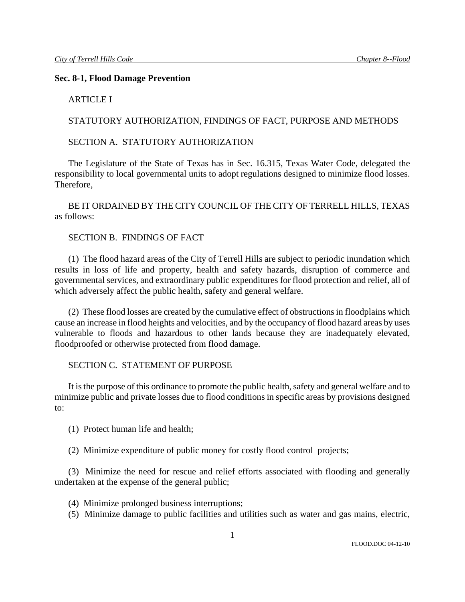### **Sec. 8-1, Flood Damage Prevention**

### ARTICLE I

### STATUTORY AUTHORIZATION, FINDINGS OF FACT, PURPOSE AND METHODS

### SECTION A. STATUTORY AUTHORIZATION

The Legislature of the State of Texas has in Sec. 16.315, Texas Water Code, delegated the responsibility to local governmental units to adopt regulations designed to minimize flood losses. Therefore,

BE IT ORDAINED BY THE CITY COUNCIL OF THE CITY OF TERRELL HILLS, TEXAS as follows:

### SECTION B. FINDINGS OF FACT

(1) The flood hazard areas of the City of Terrell Hills are subject to periodic inundation which results in loss of life and property, health and safety hazards, disruption of commerce and governmental services, and extraordinary public expenditures for flood protection and relief, all of which adversely affect the public health, safety and general welfare.

(2) These flood losses are created by the cumulative effect of obstructions in floodplains which cause an increase in flood heights and velocities, and by the occupancy of flood hazard areas by uses vulnerable to floods and hazardous to other lands because they are inadequately elevated, floodproofed or otherwise protected from flood damage.

## SECTION C. STATEMENT OF PURPOSE

It is the purpose of this ordinance to promote the public health, safety and general welfare and to minimize public and private losses due to flood conditions in specific areas by provisions designed to:

(1) Protect human life and health;

(2) Minimize expenditure of public money for costly flood control projects;

(3) Minimize the need for rescue and relief efforts associated with flooding and generally undertaken at the expense of the general public;

- (4) Minimize prolonged business interruptions;
- (5) Minimize damage to public facilities and utilities such as water and gas mains, electric,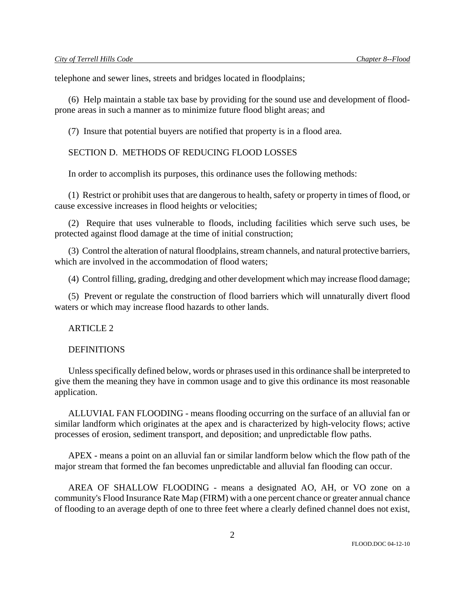telephone and sewer lines, streets and bridges located in floodplains;

(6) Help maintain a stable tax base by providing for the sound use and development of floodprone areas in such a manner as to minimize future flood blight areas; and

(7) Insure that potential buyers are notified that property is in a flood area.

#### SECTION D. METHODS OF REDUCING FLOOD LOSSES

In order to accomplish its purposes, this ordinance uses the following methods:

(1) Restrict or prohibit uses that are dangerous to health, safety or property in times of flood, or cause excessive increases in flood heights or velocities;

(2) Require that uses vulnerable to floods, including facilities which serve such uses, be protected against flood damage at the time of initial construction;

(3) Control the alteration of natural floodplains, stream channels, and natural protective barriers, which are involved in the accommodation of flood waters:

(4) Control filling, grading, dredging and other development which may increase flood damage;

(5) Prevent or regulate the construction of flood barriers which will unnaturally divert flood waters or which may increase flood hazards to other lands.

ARTICLE 2

### **DEFINITIONS**

Unless specifically defined below, words or phrases used in this ordinance shall be interpreted to give them the meaning they have in common usage and to give this ordinance its most reasonable application.

ALLUVIAL FAN FLOODING - means flooding occurring on the surface of an alluvial fan or similar landform which originates at the apex and is characterized by high-velocity flows; active processes of erosion, sediment transport, and deposition; and unpredictable flow paths.

APEX - means a point on an alluvial fan or similar landform below which the flow path of the major stream that formed the fan becomes unpredictable and alluvial fan flooding can occur.

AREA OF SHALLOW FLOODING - means a designated AO, AH, or VO zone on a community's Flood Insurance Rate Map (FIRM) with a one percent chance or greater annual chance of flooding to an average depth of one to three feet where a clearly defined channel does not exist,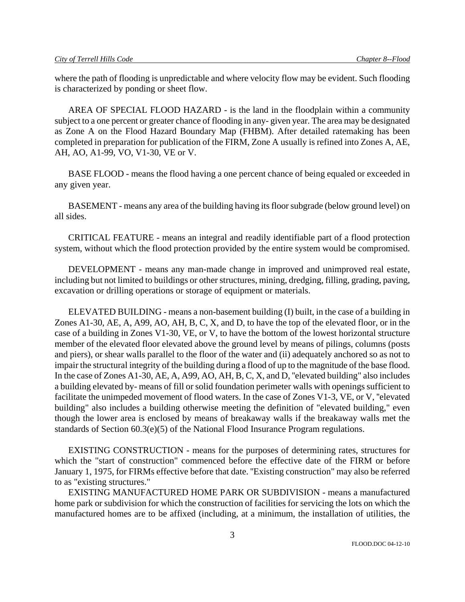where the path of flooding is unpredictable and where velocity flow may be evident. Such flooding is characterized by ponding or sheet flow.

AREA OF SPECIAL FLOOD HAZARD - is the land in the floodplain within a community subject to a one percent or greater chance of flooding in any- given year. The area may be designated as Zone A on the Flood Hazard Boundary Map (FHBM). After detailed ratemaking has been completed in preparation for publication of the FIRM, Zone A usually is refined into Zones A, AE, AH, AO, A1-99, VO, V1-30, VE or V.

BASE FLOOD - means the flood having a one percent chance of being equaled or exceeded in any given year.

BASEMENT - means any area of the building having its floor subgrade (below ground level) on all sides.

CRITICAL FEATURE - means an integral and readily identifiable part of a flood protection system, without which the flood protection provided by the entire system would be compromised.

DEVELOPMENT - means any man-made change in improved and unimproved real estate, including but not limited to buildings or other structures, mining, dredging, filling, grading, paving, excavation or drilling operations or storage of equipment or materials.

ELEVATED BUILDING - means a non-basement building (I) built, in the case of a building in Zones A1-30, AE, A, A99, AO, AH, B, C, X, and D, to have the top of the elevated floor, or in the case of a building in Zones V1-30, VE, or V, to have the bottom of the lowest horizontal structure member of the elevated floor elevated above the ground level by means of pilings, columns (posts and piers), or shear walls parallel to the floor of the water and (ii) adequately anchored so as not to impair the structural integrity of the building during a flood of up to the magnitude of the base flood. In the case of Zones A1-30, AE, A, A99, AO, AH, B, C, X, and D, ''elevated building" also includes a building elevated by- means of fill or solid foundation perimeter walls with openings sufficient to facilitate the unimpeded movement of flood waters. In the case of Zones V1-3, VE, or V, ''elevated building" also includes a building otherwise meeting the definition of "elevated building," even though the lower area is enclosed by means of breakaway walls if the breakaway walls met the standards of Section 60.3(e)(5) of the National Flood Insurance Program regulations.

EXISTING CONSTRUCTION - means for the purposes of determining rates, structures for which the "start of construction" commenced before the effective date of the FIRM or before January 1, 1975, for FIRMs effective before that date. ''Existing construction" may also be referred to as "existing structures."

EXISTING MANUFACTURED HOME PARK OR SUBDIVISION - means a manufactured home park or subdivision for which the construction of facilities for servicing the lots on which the manufactured homes are to be affixed (including, at a minimum, the installation of utilities, the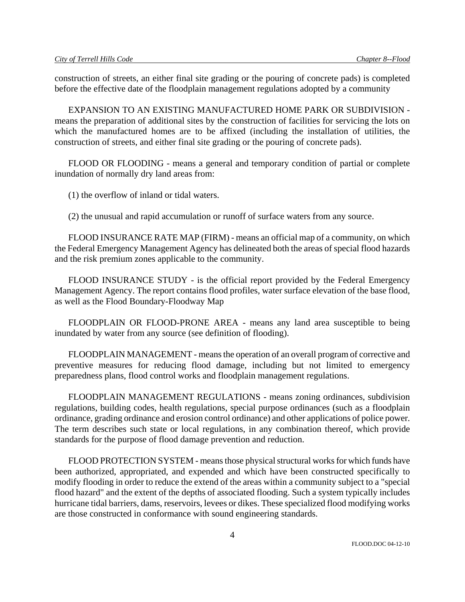construction of streets, an either final site grading or the pouring of concrete pads) is completed before the effective date of the floodplain management regulations adopted by a community

EXPANSION TO AN EXISTING MANUFACTURED HOME PARK OR SUBDIVISION means the preparation of additional sites by the construction of facilities for servicing the lots on which the manufactured homes are to be affixed (including the installation of utilities, the construction of streets, and either final site grading or the pouring of concrete pads).

FLOOD OR FLOODING - means a general and temporary condition of partial or complete inundation of normally dry land areas from:

(1) the overflow of inland or tidal waters.

(2) the unusual and rapid accumulation or runoff of surface waters from any source.

FLOOD INSURANCE RATE MAP (FIRM) - means an official map of a community, on which the Federal Emergency Management Agency has delineated both the areas of special flood hazards and the risk premium zones applicable to the community.

FLOOD INSURANCE STUDY - is the official report provided by the Federal Emergency Management Agency. The report contains flood profiles, water surface elevation of the base flood, as well as the Flood Boundary-Floodway Map

FLOODPLAIN OR FLOOD-PRONE AREA - means any land area susceptible to being inundated by water from any source (see definition of flooding).

FLOODPLAIN MANAGEMENT - means the operation of an overall program of corrective and preventive measures for reducing flood damage, including but not limited to emergency preparedness plans, flood control works and floodplain management regulations.

FLOODPLAIN MANAGEMENT REGULATIONS - means zoning ordinances, subdivision regulations, building codes, health regulations, special purpose ordinances (such as a floodplain ordinance, grading ordinance and erosion control ordinance) and other applications of police power. The term describes such state or local regulations, in any combination thereof, which provide standards for the purpose of flood damage prevention and reduction.

FLOOD PROTECTION SYSTEM - means those physical structural works for which funds have been authorized, appropriated, and expended and which have been constructed specifically to modify flooding in order to reduce the extend of the areas within a community subject to a "special flood hazard" and the extent of the depths of associated flooding. Such a system typically includes hurricane tidal barriers, dams, reservoirs, levees or dikes. These specialized flood modifying works are those constructed in conformance with sound engineering standards.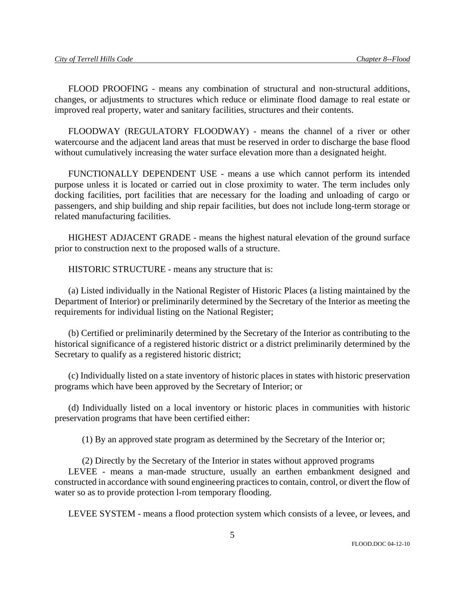FLOOD PROOFING - means any combination of structural and non-structural additions, changes, or adjustments to structures which reduce or eliminate flood damage to real estate or improved real property, water and sanitary facilities, structures and their contents.

FLOODWAY (REGULATORY FLOODWAY) - means the channel of a river or other watercourse and the adjacent land areas that must be reserved in order to discharge the base flood without cumulatively increasing the water surface elevation more than a designated height.

FUNCTIONALLY DEPENDENT USE - means a use which cannot perform its intended purpose unless it is located or carried out in close proximity to water. The term includes only docking facilities, port facilities that are necessary for the loading and unloading of cargo or passengers, and ship building and ship repair facilities, but does not include long-term storage or related manufacturing facilities.

HIGHEST ADJACENT GRADE - means the highest natural elevation of the ground surface prior to construction next to the proposed walls of a structure.

HISTORIC STRUCTURE - means any structure that is:

(a) Listed individually in the National Register of Historic Places (a listing maintained by the Department of Interior) or preliminarily determined by the Secretary of the Interior as meeting the requirements for individual listing on the National Register;

(b) Certified or preliminarily determined by the Secretary of the Interior as contributing to the historical significance of a registered historic district or a district preliminarily determined by the Secretary to qualify as a registered historic district;

(c) Individually listed on a state inventory of historic places in states with historic preservation programs which have been approved by the Secretary of Interior; or

(d) Individually listed on a local inventory or historic places in communities with historic preservation programs that have been certified either:

(1) By an approved state program as determined by the Secretary of the Interior or;

(2) Directly by the Secretary of the Interior in states without approved programs LEVEE - means a man-made structure, usually an earthen embankment designed and constructed in accordance with sound engineering practices to contain, control, or divert the flow of water so as to provide protection l-rom temporary flooding.

LEVEE SYSTEM - means a flood protection system which consists of a levee, or levees, and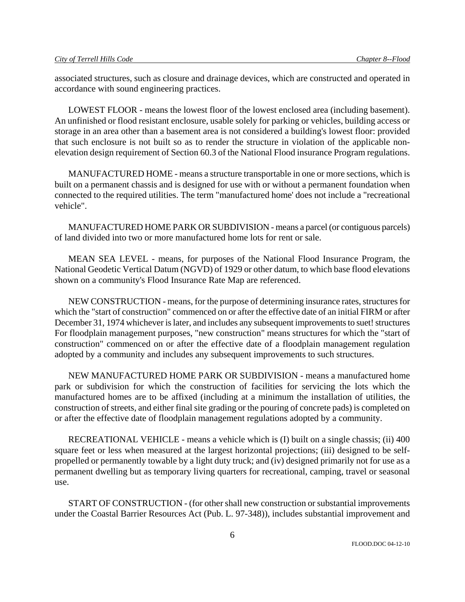associated structures, such as closure and drainage devices, which are constructed and operated in accordance with sound engineering practices.

LOWEST FLOOR - means the lowest floor of the lowest enclosed area (including basement). An unfinished or flood resistant enclosure, usable solely for parking or vehicles, building access or storage in an area other than a basement area is not considered a building's lowest floor: provided that such enclosure is not built so as to render the structure in violation of the applicable nonelevation design requirement of Section 60.3 of the National Flood insurance Program regulations.

MANUFACTURED HOME - means a structure transportable in one or more sections, which is built on a permanent chassis and is designed for use with or without a permanent foundation when connected to the required utilities. The term "manufactured home' does not include a "recreational vehicle".

MANUFACTURED HOME PARK OR SUBDIVISION - means a parcel (or contiguous parcels) of land divided into two or more manufactured home lots for rent or sale.

MEAN SEA LEVEL - means, for purposes of the National Flood Insurance Program, the National Geodetic Vertical Datum (NGVD) of 1929 or other datum, to which base flood elevations shown on a community's Flood Insurance Rate Map are referenced.

NEW CONSTRUCTION - means, for the purpose of determining insurance rates, structures for which the "start of construction" commenced on or after the effective date of an initial FIRM or after December 31, 1974 whichever is later, and includes any subsequent improvements to suet! structures For floodplain management purposes, "new construction" means structures for which the "start of construction" commenced on or after the effective date of a floodplain management regulation adopted by a community and includes any subsequent improvements to such structures.

NEW MANUFACTURED HOME PARK OR SUBDIVISION - means a manufactured home park or subdivision for which the construction of facilities for servicing the lots which the manufactured homes are to be affixed (including at a minimum the installation of utilities, the construction of streets, and either final site grading or the pouring of concrete pads) is completed on or after the effective date of floodplain management regulations adopted by a community.

RECREATIONAL VEHICLE - means a vehicle which is (I) built on a single chassis; (ii) 400 square feet or less when measured at the largest horizontal projections; (iii) designed to be selfpropelled or permanently towable by a light duty truck; and (iv) designed primarily not for use as a permanent dwelling but as temporary living quarters for recreational, camping, travel or seasonal use.

START OF CONSTRUCTION - (for other shall new construction or substantial improvements under the Coastal Barrier Resources Act (Pub. L. 97-348)), includes substantial improvement and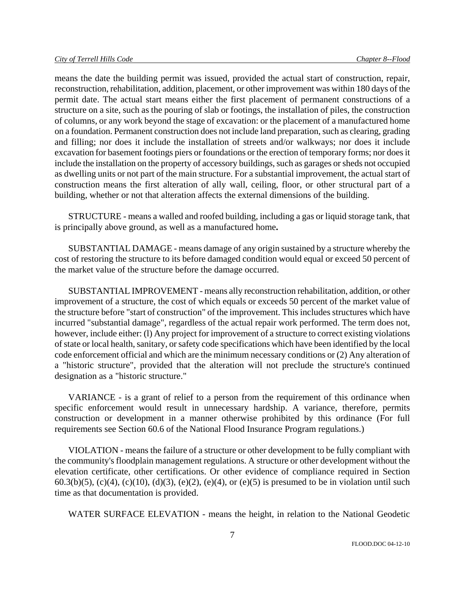means the date the building permit was issued, provided the actual start of construction, repair, reconstruction, rehabilitation, addition, placement, or other improvement was within 180 days of the permit date. The actual start means either the first placement of permanent constructions of a structure on a site, such as the pouring of slab or footings, the installation of piles, the construction of columns, or any work beyond the stage of excavation: or the placement of a manufactured home on a foundation. Permanent construction does not include land preparation, such as clearing, grading and filling; nor does it include the installation of streets and/or walkways; nor does it include excavation for basement footings piers or foundations or the erection of temporary forms; nor does it include the installation on the property of accessory buildings, such as garages or sheds not occupied as dwelling units or not part of the main structure. For a substantial improvement, the actual start of construction means the first alteration of ally wall, ceiling, floor, or other structural part of a building, whether or not that alteration affects the external dimensions of the building.

STRUCTURE - means a walled and roofed building, including a gas or liquid storage tank, that is principally above ground, as well as a manufactured home**.** 

SUBSTANTIAL DAMAGE - means damage of any origin sustained by a structure whereby the cost of restoring the structure to its before damaged condition would equal or exceed 50 percent of the market value of the structure before the damage occurred.

SUBSTANTIAL IMPROVEMENT - means ally reconstruction rehabilitation, addition, or other improvement of a structure, the cost of which equals or exceeds 50 percent of the market value of the structure before "start of construction" of the improvement. This includes structures which have incurred "substantial damage", regardless of the actual repair work performed. The term does not, however, include either: (l) Any project for improvement of a structure to correct existing violations of state or local health, sanitary, or safety code specifications which have been identified by the local code enforcement official and which are the minimum necessary conditions or (2) Any alteration of a "historic structure", provided that the alteration will not preclude the structure's continued designation as a "historic structure."

VARIANCE - is a grant of relief to a person from the requirement of this ordinance when specific enforcement would result in unnecessary hardship. A variance, therefore, permits construction or development in a manner otherwise prohibited by this ordinance (For full requirements see Section 60.6 of the National Flood Insurance Program regulations.)

VIOLATION - means the failure of a structure or other development to be fully compliant with the community's floodplain management regulations. A structure or other development without the elevation certificate, other certifications. Or other evidence of compliance required in Section 60.3(b)(5), (c)(4), (c)(10), (d)(3), (e)(2), (e)(4), or (e)(5) is presumed to be in violation until such time as that documentation is provided.

WATER SURFACE ELEVATION - means the height, in relation to the National Geodetic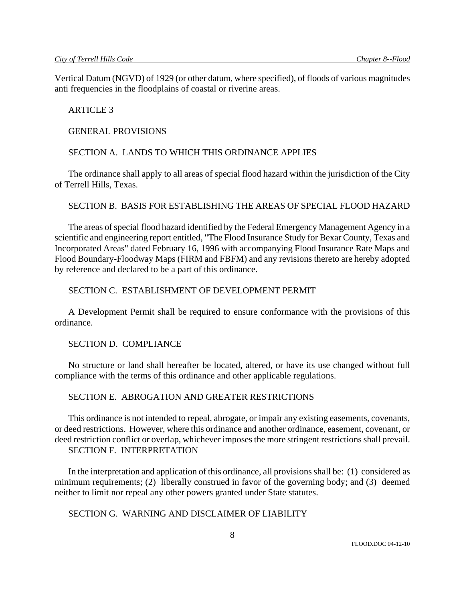Vertical Datum (NGVD) of 1929 (or other datum, where specified), of floods of various magnitudes anti frequencies in the floodplains of coastal or riverine areas.

### ARTICLE 3

#### GENERAL PROVISIONS

## SECTION A. LANDS TO WHICH THIS ORDINANCE APPLIES

The ordinance shall apply to all areas of special flood hazard within the jurisdiction of the City of Terrell Hills, Texas.

### SECTION B. BASIS FOR ESTABLISHING THE AREAS OF SPECIAL FLOOD HAZARD

The areas of special flood hazard identified by the Federal Emergency Management Agency in a scientific and engineering report entitled, "The Flood Insurance Study for Bexar County, Texas and Incorporated Areas" dated February 16, 1996 with accompanying Flood Insurance Rate Maps and Flood Boundary-Floodway Maps (FIRM and FBFM) and any revisions thereto are hereby adopted by reference and declared to be a part of this ordinance.

## SECTION C. ESTABLISHMENT OF DEVELOPMENT PERMIT

A Development Permit shall be required to ensure conformance with the provisions of this ordinance.

## SECTION D. COMPLIANCE

No structure or land shall hereafter be located, altered, or have its use changed without full compliance with the terms of this ordinance and other applicable regulations.

## SECTION E. ABROGATION AND GREATER RESTRICTIONS

This ordinance is not intended to repeal, abrogate, or impair any existing easements, covenants, or deed restrictions. However, where this ordinance and another ordinance, easement, covenant, or deed restriction conflict or overlap, whichever imposes the more stringent restrictions shall prevail. SECTION F. INTERPRETATION

In the interpretation and application of this ordinance, all provisions shall be: (1) considered as minimum requirements; (2) liberally construed in favor of the governing body; and (3) deemed neither to limit nor repeal any other powers granted under State statutes.

## SECTION G. WARNING AND DISCLAIMER OF LIABILITY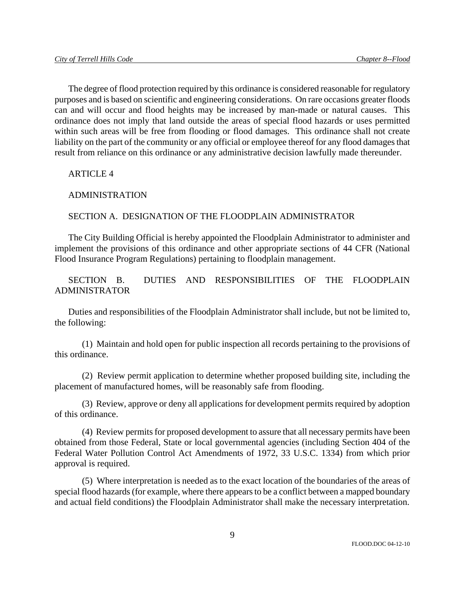The degree of flood protection required by this ordinance is considered reasonable for regulatory purposes and is based on scientific and engineering considerations. On rare occasions greater floods can and will occur and flood heights may be increased by man-made or natural causes. This ordinance does not imply that land outside the areas of special flood hazards or uses permitted within such areas will be free from flooding or flood damages. This ordinance shall not create liability on the part of the community or any official or employee thereof for any flood damages that result from reliance on this ordinance or any administrative decision lawfully made thereunder.

ARTICLE 4

## ADMINISTRATION

## SECTION A. DESIGNATION OF THE FLOODPLAIN ADMINISTRATOR

The City Building Official is hereby appointed the Floodplain Administrator to administer and implement the provisions of this ordinance and other appropriate sections of 44 CFR (National Flood Insurance Program Regulations) pertaining to floodplain management.

SECTION B. DUTIES AND RESPONSIBILITIES OF THE FLOODPLAIN ADMINISTRATOR

Duties and responsibilities of the Floodplain Administrator shall include, but not be limited to, the following:

(1) Maintain and hold open for public inspection all records pertaining to the provisions of this ordinance.

(2) Review permit application to determine whether proposed building site, including the placement of manufactured homes, will be reasonably safe from flooding.

(3) Review, approve or deny all applications for development permits required by adoption of this ordinance.

(4) Review permits for proposed development to assure that all necessary permits have been obtained from those Federal, State or local governmental agencies (including Section 404 of the Federal Water Pollution Control Act Amendments of 1972, 33 U.S.C. 1334) from which prior approval is required.

(5) Where interpretation is needed as to the exact location of the boundaries of the areas of special flood hazards (for example, where there appears to be a conflict between a mapped boundary and actual field conditions) the Floodplain Administrator shall make the necessary interpretation.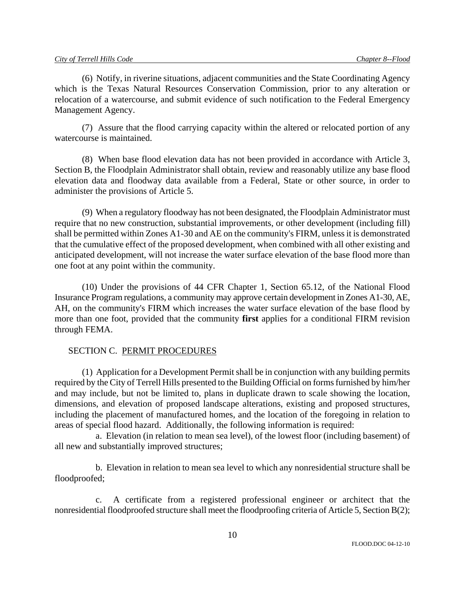(6) Notify, in riverine situations, adjacent communities and the State Coordinating Agency which is the Texas Natural Resources Conservation Commission, prior to any alteration or relocation of a watercourse, and submit evidence of such notification to the Federal Emergency Management Agency.

(7) Assure that the flood carrying capacity within the altered or relocated portion of any watercourse is maintained.

(8) When base flood elevation data has not been provided in accordance with Article 3, Section B, the Floodplain Administrator shall obtain, review and reasonably utilize any base flood elevation data and floodway data available from a Federal, State or other source, in order to administer the provisions of Article 5.

(9) When a regulatory floodway has not been designated, the Floodplain Administrator must require that no new construction, substantial improvements, or other development (including fill) shall be permitted within Zones A1-30 and AE on the community's FIRM, unless it is demonstrated that the cumulative effect of the proposed development, when combined with all other existing and anticipated development, will not increase the water surface elevation of the base flood more than one foot at any point within the community.

(10) Under the provisions of 44 CFR Chapter 1, Section 65.12, of the National Flood Insurance Program regulations, a community may approve certain development in Zones A1-30, AE, AH, on the community's FIRM which increases the water surface elevation of the base flood by more than one foot, provided that the community **first** applies for a conditional FIRM revision through FEMA.

## SECTION C. PERMIT PROCEDURES

(1) Application for a Development Permit shall be in conjunction with any building permits required by the City of Terrell Hills presented to the Building Official on forms furnished by him/her and may include, but not be limited to, plans in duplicate drawn to scale showing the location, dimensions, and elevation of proposed landscape alterations, existing and proposed structures, including the placement of manufactured homes, and the location of the foregoing in relation to areas of special flood hazard. Additionally, the following information is required:

a. Elevation (in relation to mean sea level), of the lowest floor (including basement) of all new and substantially improved structures;

b. Elevation in relation to mean sea level to which any nonresidential structure shall be floodproofed;

c. A certificate from a registered professional engineer or architect that the nonresidential floodproofed structure shall meet the floodproofing criteria of Article 5, Section B(2);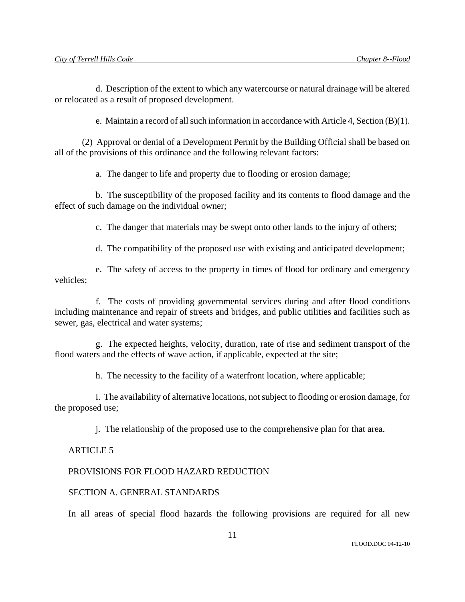d. Description of the extent to which any watercourse or natural drainage will be altered or relocated as a result of proposed development.

e. Maintain a record of all such information in accordance with Article 4, Section (B)(1).

(2) Approval or denial of a Development Permit by the Building Official shall be based on all of the provisions of this ordinance and the following relevant factors:

a. The danger to life and property due to flooding or erosion damage;

b. The susceptibility of the proposed facility and its contents to flood damage and the effect of such damage on the individual owner;

c. The danger that materials may be swept onto other lands to the injury of others;

d. The compatibility of the proposed use with existing and anticipated development;

e. The safety of access to the property in times of flood for ordinary and emergency vehicles;

f. The costs of providing governmental services during and after flood conditions including maintenance and repair of streets and bridges, and public utilities and facilities such as sewer, gas, electrical and water systems;

g. The expected heights, velocity, duration, rate of rise and sediment transport of the flood waters and the effects of wave action, if applicable, expected at the site;

h. The necessity to the facility of a waterfront location, where applicable;

i. The availability of alternative locations, not subject to flooding or erosion damage, for the proposed use;

j. The relationship of the proposed use to the comprehensive plan for that area.

## ARTICLE 5

# PROVISIONS FOR FLOOD HAZARD REDUCTION

## SECTION A. GENERAL STANDARDS

In all areas of special flood hazards the following provisions are required for all new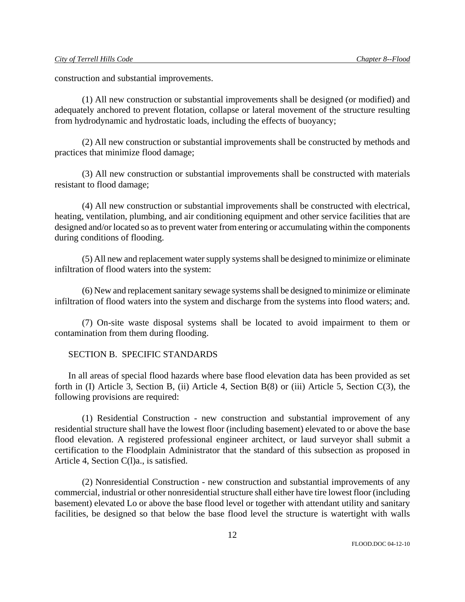construction and substantial improvements.

(1) All new construction or substantial improvements shall be designed (or modified) and adequately anchored to prevent flotation, collapse or lateral movement of the structure resulting from hydrodynamic and hydrostatic loads, including the effects of buoyancy;

(2) All new construction or substantial improvements shall be constructed by methods and practices that minimize flood damage;

(3) All new construction or substantial improvements shall be constructed with materials resistant to flood damage;

(4) All new construction or substantial improvements shall be constructed with electrical, heating, ventilation, plumbing, and air conditioning equipment and other service facilities that are designed and/or located so as to prevent water from entering or accumulating within the components during conditions of flooding.

(5) All new and replacement water supply systems shall be designed to minimize or eliminate infiltration of flood waters into the system:

(6) New and replacement sanitary sewage systems shall be designed to minimize or eliminate infiltration of flood waters into the system and discharge from the systems into flood waters; and.

(7) On-site waste disposal systems shall be located to avoid impairment to them or contamination from them during flooding.

### SECTION B. SPECIFIC STANDARDS

In all areas of special flood hazards where base flood elevation data has been provided as set forth in (I) Article 3, Section B, (ii) Article 4, Section B(8) or (iii) Article 5, Section C(3), the following provisions are required:

(1) Residential Construction - new construction and substantial improvement of any residential structure shall have the lowest floor (including basement) elevated to or above the base flood elevation. A registered professional engineer architect, or laud surveyor shall submit a certification to the Floodplain Administrator that the standard of this subsection as proposed in Article 4, Section C(l)a., is satisfied.

(2) Nonresidential Construction - new construction and substantial improvements of any commercial, industrial or other nonresidential structure shall either have tire lowest floor (including basement) elevated Lo or above the base flood level or together with attendant utility and sanitary facilities, be designed so that below the base flood level the structure is watertight with walls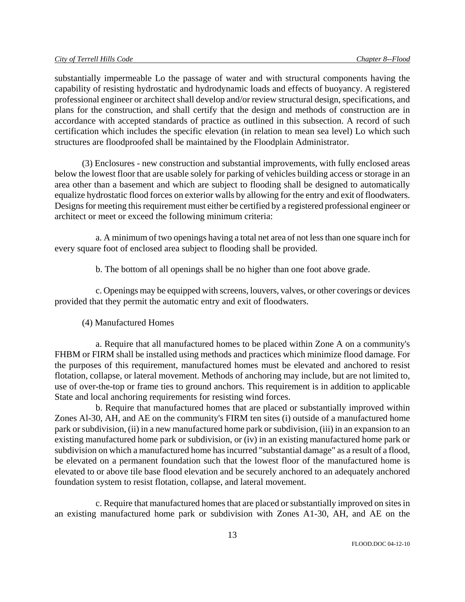substantially impermeable Lo the passage of water and with structural components having the capability of resisting hydrostatic and hydrodynamic loads and effects of buoyancy. A registered professional engineer or architect shall develop and/or review structural design, specifications, and plans for the construction, and shall certify that the design and methods of construction are in accordance with accepted standards of practice as outlined in this subsection. A record of such certification which includes the specific elevation (in relation to mean sea level) Lo which such structures are floodproofed shall be maintained by the Floodplain Administrator.

(3) Enclosures - new construction and substantial improvements, with fully enclosed areas below the lowest floor that are usable solely for parking of vehicles building access or storage in an area other than a basement and which are subject to flooding shall be designed to automatically equalize hydrostatic flood forces on exterior walls by allowing for the entry and exit of floodwaters. Designs for meeting this requirement must either be certified by a registered professional engineer or architect or meet or exceed the following minimum criteria:

a. A minimum of two openings having a total net area of not less than one square inch for every square foot of enclosed area subject to flooding shall be provided.

b. The bottom of all openings shall be no higher than one foot above grade.

c. Openings may be equipped with screens, louvers, valves, or other coverings or devices provided that they permit the automatic entry and exit of floodwaters.

### (4) Manufactured Homes

a. Require that all manufactured homes to be placed within Zone A on a community's FHBM or FIRM shall be installed using methods and practices which minimize flood damage. For the purposes of this requirement, manufactured homes must be elevated and anchored to resist flotation, collapse, or lateral movement. Methods of anchoring may include, but are not limited to, use of over-the-top or frame ties to ground anchors. This requirement is in addition to applicable State and local anchoring requirements for resisting wind forces.

b. Require that manufactured homes that are placed or substantially improved within Zones Al-30, AH, and AE on the community's FIRM ten sites (i) outside of a manufactured home park or subdivision, (ii) in a new manufactured home park or subdivision, (iii) in an expansion to an existing manufactured home park or subdivision, or (iv) in an existing manufactured home park or subdivision on which a manufactured home has incurred "substantial damage" as a result of a flood, be elevated on a permanent foundation such that the lowest floor of the manufactured home is elevated to or above tile base flood elevation and be securely anchored to an adequately anchored foundation system to resist flotation, collapse, and lateral movement.

c. Require that manufactured homes that are placed or substantially improved on sites in an existing manufactured home park or subdivision with Zones A1-30, AH, and AE on the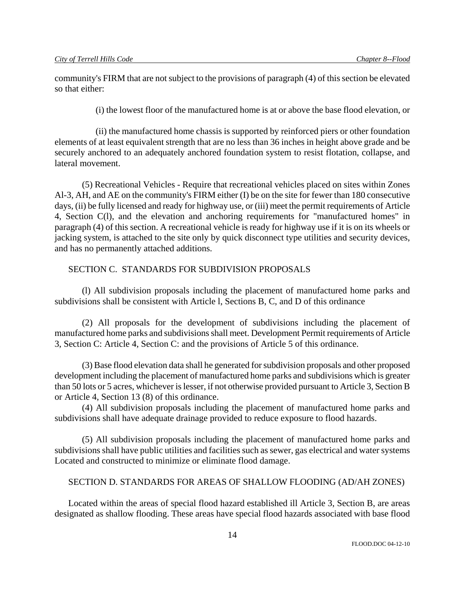community's FIRM that are not subject to the provisions of paragraph (4) of this section be elevated so that either:

(i) the lowest floor of the manufactured home is at or above the base flood elevation, or

(ii) the manufactured home chassis is supported by reinforced piers or other foundation elements of at least equivalent strength that are no less than 36 inches in height above grade and be securely anchored to an adequately anchored foundation system to resist flotation, collapse, and lateral movement.

(5) Recreational Vehicles - Require that recreational vehicles placed on sites within Zones Al-3, AH, and AE on the community's FIRM either (I) be on the site for fewer than 180 consecutive days, (ii) be fully licensed and ready for highway use, or (iii) meet the permit requirements of Article 4, Section C(l), and the elevation and anchoring requirements for "manufactured homes" in paragraph (4) of this section. A recreational vehicle is ready for highway use if it is on its wheels or jacking system, is attached to the site only by quick disconnect type utilities and security devices, and has no permanently attached additions.

## SECTION C. STANDARDS FOR SUBDIVISION PROPOSALS

(l) All subdivision proposals including the placement of manufactured home parks and subdivisions shall be consistent with Article l, Sections B, C, and D of this ordinance

(2) All proposals for the development of subdivisions including the placement of manufactured home parks and subdivisions shall meet. Development Permit requirements of Article 3, Section C: Article 4, Section C: and the provisions of Article 5 of this ordinance.

(3) Base flood elevation data shall he generated for subdivision proposals and other proposed development including the placement of manufactured home parks and subdivisions which is greater than 50 lots or 5 acres, whichever is lesser, if not otherwise provided pursuant to Article 3, Section B or Article 4, Section 13 (8) of this ordinance.

(4) All subdivision proposals including the placement of manufactured home parks and subdivisions shall have adequate drainage provided to reduce exposure to flood hazards.

(5) All subdivision proposals including the placement of manufactured home parks and subdivisions shall have public utilities and facilities such as sewer, gas electrical and water systems Located and constructed to minimize or eliminate flood damage.

## SECTION D. STANDARDS FOR AREAS OF SHALLOW FLOODING (AD/AH ZONES)

Located within the areas of special flood hazard established ill Article 3, Section B, are areas designated as shallow flooding. These areas have special flood hazards associated with base flood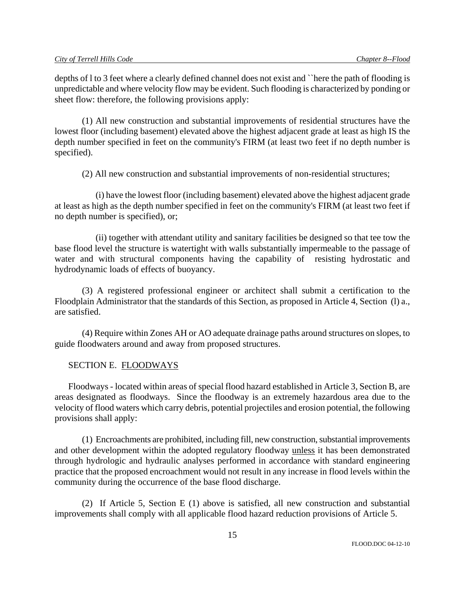depths of l to 3 feet where a clearly defined channel does not exist and ``here the path of flooding is unpredictable and where velocity flow may be evident. Such flooding is characterized by ponding or sheet flow: therefore, the following provisions apply:

(1) All new construction and substantial improvements of residential structures have the lowest floor (including basement) elevated above the highest adjacent grade at least as high IS the depth number specified in feet on the community's FIRM (at least two feet if no depth number is specified).

(2) All new construction and substantial improvements of non-residential structures;

(i) have the lowest floor (including basement) elevated above the highest adjacent grade at least as high as the depth number specified in feet on the community's FIRM (at least two feet if no depth number is specified), or;

(ii) together with attendant utility and sanitary facilities be designed so that tee tow the base flood level the structure is watertight with walls substantially impermeable to the passage of water and with structural components having the capability of resisting hydrostatic and hydrodynamic loads of effects of buoyancy.

(3) A registered professional engineer or architect shall submit a certification to the Floodplain Administrator that the standards of this Section, as proposed in Article 4, Section (l) a., are satisfied.

(4) Require within Zones AH or AO adequate drainage paths around structures on slopes, to guide floodwaters around and away from proposed structures.

## SECTION E. FLOODWAYS

Floodways - located within areas of special flood hazard established in Article 3, Section B, are areas designated as floodways. Since the floodway is an extremely hazardous area due to the velocity of flood waters which carry debris, potential projectiles and erosion potential, the following provisions shall apply:

(1) Encroachments are prohibited, including fill, new construction, substantial improvements and other development within the adopted regulatory floodway unless it has been demonstrated through hydrologic and hydraulic analyses performed in accordance with standard engineering practice that the proposed encroachment would not result in any increase in flood levels within the community during the occurrence of the base flood discharge.

(2) If Article 5, Section E (1) above is satisfied, all new construction and substantial improvements shall comply with all applicable flood hazard reduction provisions of Article 5.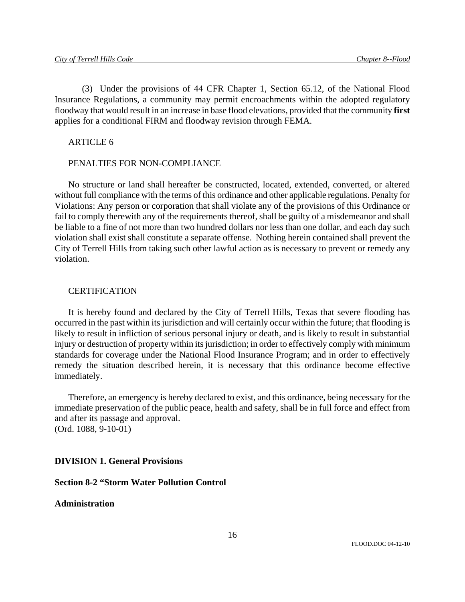(3) Under the provisions of 44 CFR Chapter 1, Section 65.12, of the National Flood Insurance Regulations, a community may permit encroachments within the adopted regulatory floodway that would result in an increase in base flood elevations, provided that the community **first** applies for a conditional FIRM and floodway revision through FEMA.

ARTICLE 6

## PENALTIES FOR NON-COMPLIANCE

No structure or land shall hereafter be constructed, located, extended, converted, or altered without full compliance with the terms of this ordinance and other applicable regulations. Penalty for Violations: Any person or corporation that shall violate any of the provisions of this Ordinance or fail to comply therewith any of the requirements thereof, shall be guilty of a misdemeanor and shall be liable to a fine of not more than two hundred dollars nor less than one dollar, and each day such violation shall exist shall constitute a separate offense. Nothing herein contained shall prevent the City of Terrell Hills from taking such other lawful action as is necessary to prevent or remedy any violation.

#### CERTIFICATION

It is hereby found and declared by the City of Terrell Hills, Texas that severe flooding has occurred in the past within its jurisdiction and will certainly occur within the future; that flooding is likely to result in infliction of serious personal injury or death, and is likely to result in substantial injury or destruction of property within its jurisdiction; in order to effectively comply with minimum standards for coverage under the National Flood Insurance Program; and in order to effectively remedy the situation described herein, it is necessary that this ordinance become effective immediately.

Therefore, an emergency is hereby declared to exist, and this ordinance, being necessary for the immediate preservation of the public peace, health and safety, shall be in full force and effect from and after its passage and approval. (Ord. 1088, 9-10-01)

### **DIVISION 1. General Provisions**

# **Section 8-2 "Storm Water Pollution Control**

### **Administration**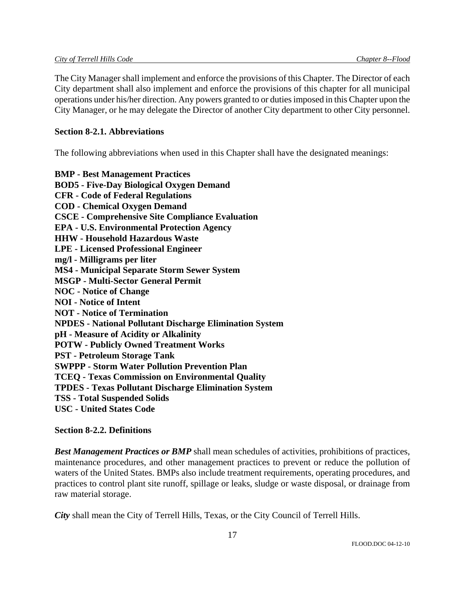The City Manager shall implement and enforce the provisions of this Chapter. The Director of each City department shall also implement and enforce the provisions of this chapter for all municipal operations under his/her direction. Any powers granted to or duties imposed in this Chapter upon the City Manager, or he may delegate the Director of another City department to other City personnel.

## **Section 8-2.1. Abbreviations**

The following abbreviations when used in this Chapter shall have the designated meanings:

**BMP - Best Management Practices BOD5 - Five-Day Biological Oxygen Demand CFR - Code of Federal Regulations COD - Chemical Oxygen Demand CSCE - Comprehensive Site Compliance Evaluation EPA - U.S. Environmental Protection Agency HHW - Household Hazardous Waste LPE - Licensed Professional Engineer mg/l - Milligrams per liter MS4 - Municipal Separate Storm Sewer System MSGP - Multi-Sector General Permit NOC - Notice of Change NOI - Notice of Intent NOT - Notice of Termination NPDES - National Pollutant Discharge Elimination System pH - Measure of Acidity or Alkalinity POTW - Publicly Owned Treatment Works PST - Petroleum Storage Tank SWPPP - Storm Water Pollution Prevention Plan TCEQ - Texas Commission on Environmental Quality TPDES - Texas Pollutant Discharge Elimination System TSS - Total Suspended Solids USC - United States Code** 

## **Section 8-2.2. Definitions**

*Best Management Practices or BMP* shall mean schedules of activities, prohibitions of practices, maintenance procedures, and other management practices to prevent or reduce the pollution of waters of the United States. BMPs also include treatment requirements, operating procedures, and practices to control plant site runoff, spillage or leaks, sludge or waste disposal, or drainage from raw material storage.

*City* shall mean the City of Terrell Hills, Texas, or the City Council of Terrell Hills.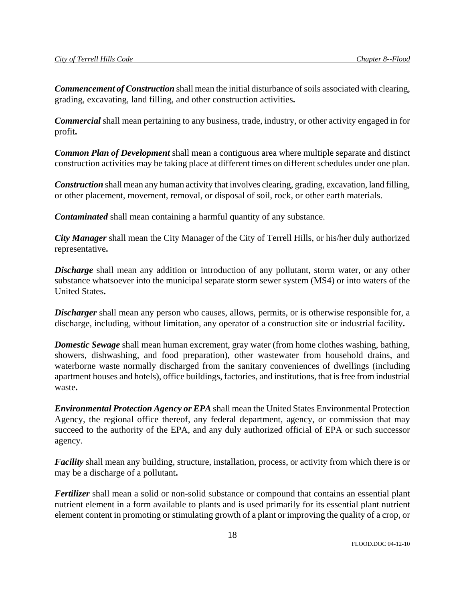*Commencement of Construction* shall mean the initial disturbance of soils associated with clearing, grading, excavating, land filling, and other construction activities**.** 

*Commercial* shall mean pertaining to any business, trade, industry, or other activity engaged in for profit**.** 

*Common Plan of Development* shall mean a contiguous area where multiple separate and distinct construction activities may be taking place at different times on different schedules under one plan.

*Construction* shall mean any human activity that involves clearing, grading, excavation, land filling, or other placement, movement, removal, or disposal of soil, rock, or other earth materials.

*Contaminated* shall mean containing a harmful quantity of any substance.

*City Manager* shall mean the City Manager of the City of Terrell Hills, or his/her duly authorized representative**.** 

*Discharge* shall mean any addition or introduction of any pollutant, storm water, or any other substance whatsoever into the municipal separate storm sewer system (MS4) or into waters of the United States**.** 

*Discharger* shall mean any person who causes, allows, permits, or is otherwise responsible for, a discharge, including, without limitation, any operator of a construction site or industrial facility**.** 

*Domestic Sewage* shall mean human excrement, gray water (from home clothes washing, bathing, showers, dishwashing, and food preparation), other wastewater from household drains, and waterborne waste normally discharged from the sanitary conveniences of dwellings (including apartment houses and hotels), office buildings, factories, and institutions, that is free from industrial waste**.** 

*Environmental Protection Agency or EPA* shall mean the United States Environmental Protection Agency, the regional office thereof, any federal department, agency, or commission that may succeed to the authority of the EPA, and any duly authorized official of EPA or such successor agency.

*Facility* shall mean any building, structure, installation, process, or activity from which there is or may be a discharge of a pollutant**.** 

*Fertilizer* shall mean a solid or non-solid substance or compound that contains an essential plant nutrient element in a form available to plants and is used primarily for its essential plant nutrient element content in promoting or stimulating growth of a plant or improving the quality of a crop, or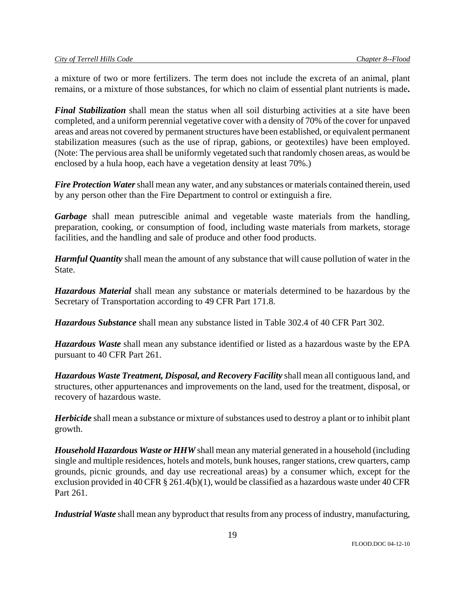a mixture of two or more fertilizers. The term does not include the excreta of an animal, plant remains, or a mixture of those substances, for which no claim of essential plant nutrients is made**.** 

*Final Stabilization* shall mean the status when all soil disturbing activities at a site have been completed, and a uniform perennial vegetative cover with a density of 70% of the cover for unpaved areas and areas not covered by permanent structures have been established, or equivalent permanent stabilization measures (such as the use of riprap, gabions, or geotextiles) have been employed. (Note: The pervious area shall be uniformly vegetated such that randomly chosen areas, as would be enclosed by a hula hoop, each have a vegetation density at least 70%.)

*Fire Protection Water* shall mean any water, and any substances or materials contained therein, used by any person other than the Fire Department to control or extinguish a fire.

*Garbage* shall mean putrescible animal and vegetable waste materials from the handling, preparation, cooking, or consumption of food, including waste materials from markets, storage facilities, and the handling and sale of produce and other food products.

*Harmful Quantity* shall mean the amount of any substance that will cause pollution of water in the State.

*Hazardous Material* shall mean any substance or materials determined to be hazardous by the Secretary of Transportation according to 49 CFR Part 171.8.

*Hazardous Substance* shall mean any substance listed in Table 302.4 of 40 CFR Part 302.

*Hazardous Waste* shall mean any substance identified or listed as a hazardous waste by the EPA pursuant to 40 CFR Part 261.

*Hazardous Waste Treatment, Disposal, and Recovery Facility* shall mean all contiguous land, and structures, other appurtenances and improvements on the land, used for the treatment, disposal, or recovery of hazardous waste.

*Herbicide* shall mean a substance or mixture of substances used to destroy a plant or to inhibit plant growth.

*Household Hazardous Waste or HHW* shall mean any material generated in a household (including single and multiple residences, hotels and motels, bunk houses, ranger stations, crew quarters, camp grounds, picnic grounds, and day use recreational areas) by a consumer which, except for the exclusion provided in 40 CFR § 261.4(b)(1), would be classified as a hazardous waste under 40 CFR Part 261.

*Industrial Waste* shall mean any byproduct that results from any process of industry, manufacturing,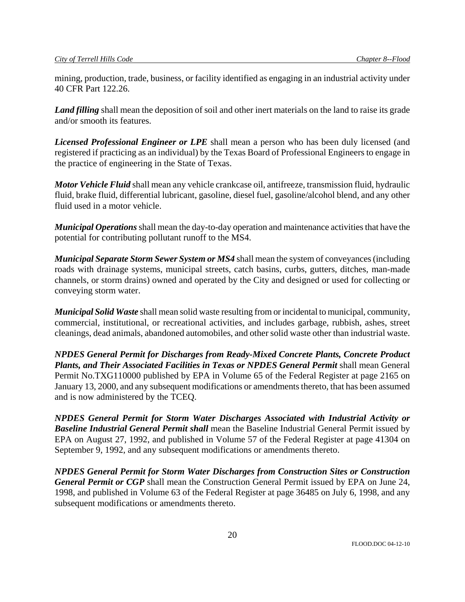mining, production, trade, business, or facility identified as engaging in an industrial activity under 40 CFR Part 122.26.

*Land filling* shall mean the deposition of soil and other inert materials on the land to raise its grade and/or smooth its features.

*Licensed Professional Engineer or LPE* shall mean a person who has been duly licensed (and registered if practicing as an individual) by the Texas Board of Professional Engineers to engage in the practice of engineering in the State of Texas.

*Motor Vehicle Fluid* shall mean any vehicle crankcase oil, antifreeze, transmission fluid, hydraulic fluid, brake fluid, differential lubricant, gasoline, diesel fuel, gasoline/alcohol blend, and any other fluid used in a motor vehicle.

*Municipal Operations* shall mean the day-to-day operation and maintenance activities that have the potential for contributing pollutant runoff to the MS4.

*Municipal Separate Storm Sewer System or MS4* shall mean the system of conveyances (including roads with drainage systems, municipal streets, catch basins, curbs, gutters, ditches, man-made channels, or storm drains) owned and operated by the City and designed or used for collecting or conveying storm water.

*Municipal Solid Waste* shall mean solid waste resulting from or incidental to municipal, community, commercial, institutional, or recreational activities, and includes garbage, rubbish, ashes, street cleanings, dead animals, abandoned automobiles, and other solid waste other than industrial waste.

*NPDES General Permit for Discharges from Ready-Mixed Concrete Plants, Concrete Product Plants, and Their Associated Facilities in Texas or NPDES General Permit shall mean General* Permit No.TXG110000 published by EPA in Volume 65 of the Federal Register at page 2165 on January 13, 2000, and any subsequent modifications or amendments thereto, that has been assumed and is now administered by the TCEQ.

*NPDES General Permit for Storm Water Discharges Associated with Industrial Activity or Baseline Industrial General Permit shall* mean the Baseline Industrial General Permit issued by EPA on August 27, 1992, and published in Volume 57 of the Federal Register at page 41304 on September 9, 1992, and any subsequent modifications or amendments thereto.

*NPDES General Permit for Storm Water Discharges from Construction Sites or Construction General Permit or CGP* shall mean the Construction General Permit issued by EPA on June 24, 1998, and published in Volume 63 of the Federal Register at page 36485 on July 6, 1998, and any subsequent modifications or amendments thereto.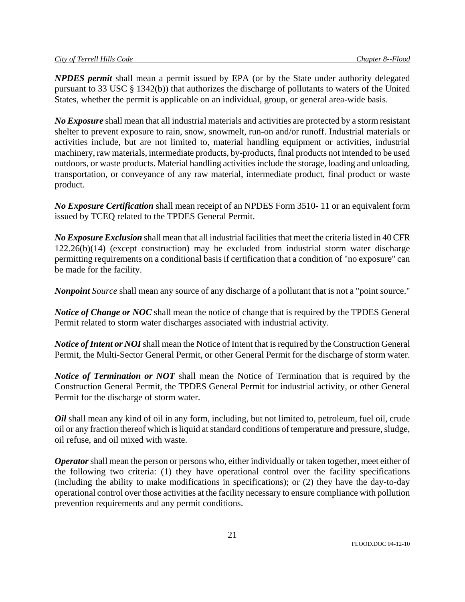*NPDES permit* shall mean a permit issued by EPA (or by the State under authority delegated pursuant to 33 USC § 1342(b)) that authorizes the discharge of pollutants to waters of the United States, whether the permit is applicable on an individual, group, or general area-wide basis.

*No Exposure* shall mean that all industrial materials and activities are protected by a storm resistant shelter to prevent exposure to rain, snow, snowmelt, run-on and/or runoff. Industrial materials or activities include, but are not limited to, material handling equipment or activities, industrial machinery, raw materials, intermediate products, by-products, final products not intended to be used outdoors, or waste products. Material handling activities include the storage, loading and unloading, transportation, or conveyance of any raw material, intermediate product, final product or waste product.

*No Exposure Certification* shall mean receipt of an NPDES Form 3510- 11 or an equivalent form issued by TCEQ related to the TPDES General Permit.

*No Exposure Exclusion* shall mean that all industrial facilities that meet the criteria listed in 40 CFR 122.26(b)(14) (except construction) may be excluded from industrial storm water discharge permitting requirements on a conditional basis if certification that a condition of "no exposure" can be made for the facility.

*Nonpoint Source* shall mean any source of any discharge of a pollutant that is not a "point source."

*Notice of Change or NOC* shall mean the notice of change that is required by the TPDES General Permit related to storm water discharges associated with industrial activity.

*Notice of Intent or NOI* shall mean the Notice of Intent that is required by the Construction General Permit, the Multi-Sector General Permit, or other General Permit for the discharge of storm water.

*Notice of Termination or NOT* shall mean the Notice of Termination that is required by the Construction General Permit, the TPDES General Permit for industrial activity, or other General Permit for the discharge of storm water.

*Oil* shall mean any kind of oil in any form, including, but not limited to, petroleum, fuel oil, crude oil or any fraction thereof which is liquid at standard conditions of temperature and pressure, sludge, oil refuse, and oil mixed with waste.

*Operator* shall mean the person or persons who, either individually or taken together, meet either of the following two criteria: (1) they have operational control over the facility specifications (including the ability to make modifications in specifications); or (2) they have the day-to-day operational control over those activities at the facility necessary to ensure compliance with pollution prevention requirements and any permit conditions.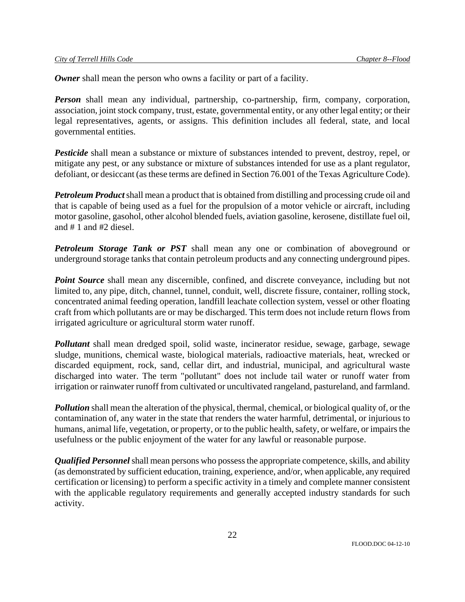*Owner* shall mean the person who owns a facility or part of a facility.

**Person** shall mean any individual, partnership, co-partnership, firm, company, corporation, association, joint stock company, trust, estate, governmental entity, or any other legal entity; or their legal representatives, agents, or assigns. This definition includes all federal, state, and local governmental entities.

*Pesticide* shall mean a substance or mixture of substances intended to prevent, destroy, repel, or mitigate any pest, or any substance or mixture of substances intended for use as a plant regulator, defoliant, or desiccant (as these terms are defined in Section 76.001 of the Texas Agriculture Code).

*Petroleum Product* shall mean a product that is obtained from distilling and processing crude oil and that is capable of being used as a fuel for the propulsion of a motor vehicle or aircraft, including motor gasoline, gasohol, other alcohol blended fuels, aviation gasoline, kerosene, distillate fuel oil, and  $# 1$  and  $#2$  diesel.

*Petroleum Storage Tank or PST* shall mean any one or combination of aboveground or underground storage tanks that contain petroleum products and any connecting underground pipes.

**Point Source** shall mean any discernible, confined, and discrete conveyance, including but not limited to, any pipe, ditch, channel, tunnel, conduit, well, discrete fissure, container, rolling stock, concentrated animal feeding operation, landfill leachate collection system, vessel or other floating craft from which pollutants are or may be discharged. This term does not include return flows from irrigated agriculture or agricultural storm water runoff.

*Pollutant* shall mean dredged spoil, solid waste, incinerator residue, sewage, garbage, sewage sludge, munitions, chemical waste, biological materials, radioactive materials, heat, wrecked or discarded equipment, rock, sand, cellar dirt, and industrial, municipal, and agricultural waste discharged into water. The term "pollutant" does not include tail water or runoff water from irrigation or rainwater runoff from cultivated or uncultivated rangeland, pastureland, and farmland.

*Pollution* shall mean the alteration of the physical, thermal, chemical, or biological quality of, or the contamination of, any water in the state that renders the water harmful, detrimental, or injurious to humans, animal life, vegetation, or property, or to the public health, safety, or welfare, or impairs the usefulness or the public enjoyment of the water for any lawful or reasonable purpose.

*Qualified Personnel* shall mean persons who possess the appropriate competence, skills, and ability (as demonstrated by sufficient education, training, experience, and/or, when applicable, any required certification or licensing) to perform a specific activity in a timely and complete manner consistent with the applicable regulatory requirements and generally accepted industry standards for such activity.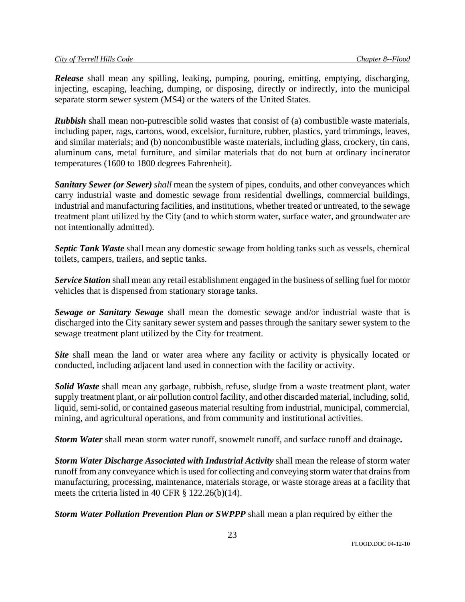*Release* shall mean any spilling, leaking, pumping, pouring, emitting, emptying, discharging, injecting, escaping, leaching, dumping, or disposing, directly or indirectly, into the municipal separate storm sewer system (MS4) or the waters of the United States.

*Rubbish* shall mean non-putrescible solid wastes that consist of (a) combustible waste materials, including paper, rags, cartons, wood, excelsior, furniture, rubber, plastics, yard trimmings, leaves, and similar materials; and (b) noncombustible waste materials, including glass, crockery, tin cans, aluminum cans, metal furniture, and similar materials that do not burn at ordinary incinerator temperatures (1600 to 1800 degrees Fahrenheit).

*Sanitary Sewer (or Sewer) shall* mean the system of pipes, conduits, and other conveyances which carry industrial waste and domestic sewage from residential dwellings, commercial buildings, industrial and manufacturing facilities, and institutions, whether treated or untreated, to the sewage treatment plant utilized by the City (and to which storm water, surface water, and groundwater are not intentionally admitted).

*Septic Tank Waste* shall mean any domestic sewage from holding tanks such as vessels, chemical toilets, campers, trailers, and septic tanks.

*Service Station* shall mean any retail establishment engaged in the business of selling fuel for motor vehicles that is dispensed from stationary storage tanks.

*Sewage or Sanitary Sewage* shall mean the domestic sewage and/or industrial waste that is discharged into the City sanitary sewer system and passes through the sanitary sewer system to the sewage treatment plant utilized by the City for treatment.

**Site** shall mean the land or water area where any facility or activity is physically located or conducted, including adjacent land used in connection with the facility or activity.

*Solid Waste* shall mean any garbage, rubbish, refuse, sludge from a waste treatment plant, water supply treatment plant, or air pollution control facility, and other discarded material, including, solid, liquid, semi-solid, or contained gaseous material resulting from industrial, municipal, commercial, mining, and agricultural operations, and from community and institutional activities.

*Storm Water* shall mean storm water runoff, snowmelt runoff, and surface runoff and drainage**.** 

*Storm Water Discharge Associated with Industrial Activity* shall mean the release of storm water runoff from any conveyance which is used for collecting and conveying storm water that drains from manufacturing, processing, maintenance, materials storage, or waste storage areas at a facility that meets the criteria listed in 40 CFR § 122.26(b)(14).

*Storm Water Pollution Prevention Plan or SWPPP* shall mean a plan required by either the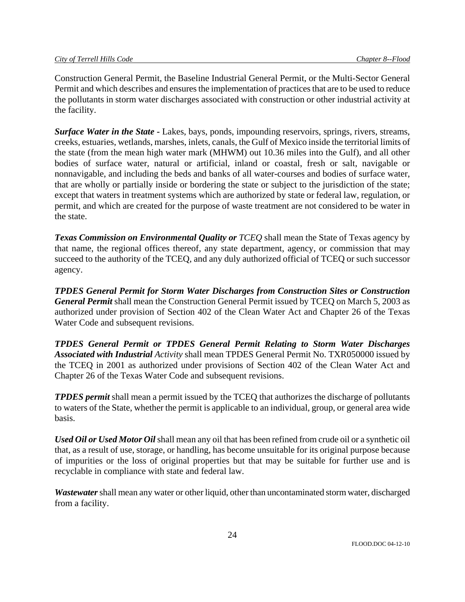Construction General Permit, the Baseline Industrial General Permit, or the Multi-Sector General Permit and which describes and ensures the implementation of practices that are to be used to reduce the pollutants in storm water discharges associated with construction or other industrial activity at the facility.

*Surface Water in the State - Lakes, bays, ponds, impounding reservoirs, springs, rivers, streams,* creeks, estuaries, wetlands, marshes, inlets, canals, the Gulf of Mexico inside the territorial limits of the state (from the mean high water mark (MHWM) out 10.36 miles into the Gulf), and all other bodies of surface water, natural or artificial, inland or coastal, fresh or salt, navigable or nonnavigable, and including the beds and banks of all water-courses and bodies of surface water, that are wholly or partially inside or bordering the state or subject to the jurisdiction of the state; except that waters in treatment systems which are authorized by state or federal law, regulation, or permit, and which are created for the purpose of waste treatment are not considered to be water in the state.

*Texas Commission on Environmental Quality or TCEQ shall mean the State of Texas agency by* that name, the regional offices thereof, any state department, agency, or commission that may succeed to the authority of the TCEQ, and any duly authorized official of TCEQ or such successor agency.

*TPDES General Permit for Storm Water Discharges from Construction Sites or Construction General Permit* shall mean the Construction General Permit issued by TCEQ on March 5, 2003 as authorized under provision of Section 402 of the Clean Water Act and Chapter 26 of the Texas Water Code and subsequent revisions.

*TPDES General Permit or TPDES General Permit Relating to Storm Water Discharges Associated with Industrial Activity* shall mean TPDES General Permit No. TXR050000 issued by the TCEQ in 2001 as authorized under provisions of Section 402 of the Clean Water Act and Chapter 26 of the Texas Water Code and subsequent revisions.

*TPDES permit* shall mean a permit issued by the TCEQ that authorizes the discharge of pollutants to waters of the State, whether the permit is applicable to an individual, group, or general area wide basis.

*Used Oil or Used Motor Oil* shall mean any oil that has been refined from crude oil or a synthetic oil that, as a result of use, storage, or handling, has become unsuitable for its original purpose because of impurities or the loss of original properties but that may be suitable for further use and is recyclable in compliance with state and federal law.

*Wastewater* shall mean any water or other liquid, other than uncontaminated storm water, discharged from a facility.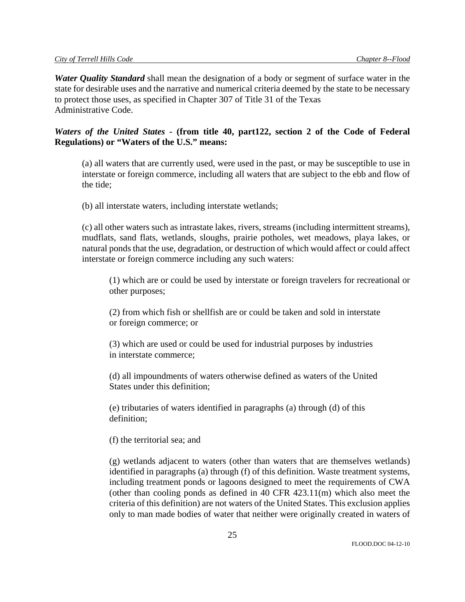*Water Quality Standard* shall mean the designation of a body or segment of surface water in the state for desirable uses and the narrative and numerical criteria deemed by the state to be necessary to protect those uses, as specified in Chapter 307 of Title 31 of the Texas Administrative Code.

# *Waters of the United States* **- (from title 40, part122, section 2 of the Code of Federal Regulations) or "Waters of the U.S." means:**

(a) all waters that are currently used, were used in the past, or may be susceptible to use in interstate or foreign commerce, including all waters that are subject to the ebb and flow of the tide;

(b) all interstate waters, including interstate wetlands;

(c) all other waters such as intrastate lakes, rivers, streams (including intermittent streams), mudflats, sand flats, wetlands, sloughs, prairie potholes, wet meadows, playa lakes, or natural ponds that the use, degradation, or destruction of which would affect or could affect interstate or foreign commerce including any such waters:

(1) which are or could be used by interstate or foreign travelers for recreational or other purposes;

(2) from which fish or shellfish are or could be taken and sold in interstate or foreign commerce; or

(3) which are used or could be used for industrial purposes by industries in interstate commerce;

(d) all impoundments of waters otherwise defined as waters of the United States under this definition;

(e) tributaries of waters identified in paragraphs (a) through (d) of this definition;

## (f) the territorial sea; and

(g) wetlands adjacent to waters (other than waters that are themselves wetlands) identified in paragraphs (a) through (f) of this definition. Waste treatment systems, including treatment ponds or lagoons designed to meet the requirements of CWA (other than cooling ponds as defined in 40 CFR  $423.11(m)$  which also meet the criteria of this definition) are not waters of the United States. This exclusion applies only to man made bodies of water that neither were originally created in waters of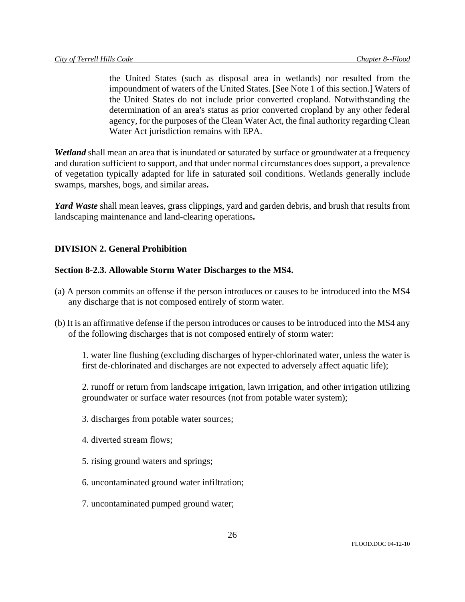the United States (such as disposal area in wetlands) nor resulted from the impoundment of waters of the United States. [See Note 1 of this section.] Waters of the United States do not include prior converted cropland. Notwithstanding the determination of an area's status as prior converted cropland by any other federal agency, for the purposes of the Clean Water Act, the final authority regarding Clean Water Act jurisdiction remains with EPA.

*Wetland* shall mean an area that is inundated or saturated by surface or groundwater at a frequency and duration sufficient to support, and that under normal circumstances does support, a prevalence of vegetation typically adapted for life in saturated soil conditions. Wetlands generally include swamps, marshes, bogs, and similar areas**.** 

*Yard Waste* shall mean leaves, grass clippings, yard and garden debris, and brush that results from landscaping maintenance and land-clearing operations**.** 

## **DIVISION 2. General Prohibition**

## **Section 8-2.3. Allowable Storm Water Discharges to the MS4.**

- (a) A person commits an offense if the person introduces or causes to be introduced into the MS4 any discharge that is not composed entirely of storm water.
- (b) It is an affirmative defense if the person introduces or causes to be introduced into the MS4 any of the following discharges that is not composed entirely of storm water:

1. water line flushing (excluding discharges of hyper-chlorinated water, unless the water is first de-chlorinated and discharges are not expected to adversely affect aquatic life);

2. runoff or return from landscape irrigation, lawn irrigation, and other irrigation utilizing groundwater or surface water resources (not from potable water system);

- 3. discharges from potable water sources;
- 4. diverted stream flows;
- 5. rising ground waters and springs;
- 6. uncontaminated ground water infiltration;
- 7. uncontaminated pumped ground water;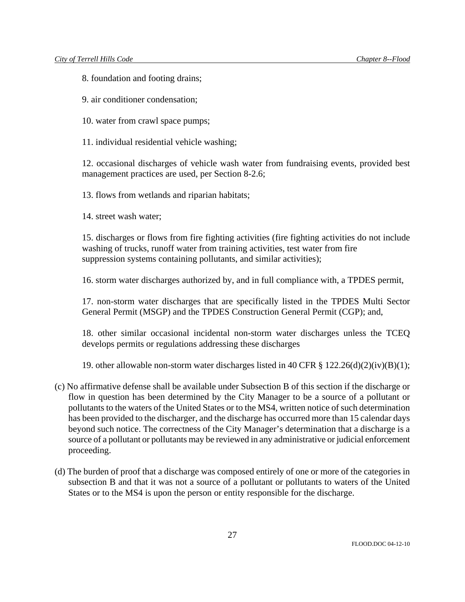8. foundation and footing drains;

9. air conditioner condensation;

10. water from crawl space pumps;

11. individual residential vehicle washing;

12. occasional discharges of vehicle wash water from fundraising events, provided best management practices are used, per Section 8-2.6;

13. flows from wetlands and riparian habitats;

14. street wash water;

15. discharges or flows from fire fighting activities (fire fighting activities do not include washing of trucks, runoff water from training activities, test water from fire suppression systems containing pollutants, and similar activities);

16. storm water discharges authorized by, and in full compliance with, a TPDES permit,

17. non-storm water discharges that are specifically listed in the TPDES Multi Sector General Permit (MSGP) and the TPDES Construction General Permit (CGP); and,

18. other similar occasional incidental non-storm water discharges unless the TCEQ develops permits or regulations addressing these discharges

19. other allowable non-storm water discharges listed in 40 CFR  $\S 122.26(d)(2)(iv)(B)(1);$ 

- (c) No affirmative defense shall be available under Subsection B of this section if the discharge or flow in question has been determined by the City Manager to be a source of a pollutant or pollutants to the waters of the United States or to the MS4, written notice of such determination has been provided to the discharger, and the discharge has occurred more than 15 calendar days beyond such notice. The correctness of the City Manager's determination that a discharge is a source of a pollutant or pollutants may be reviewed in any administrative or judicial enforcement proceeding.
- (d) The burden of proof that a discharge was composed entirely of one or more of the categories in subsection B and that it was not a source of a pollutant or pollutants to waters of the United States or to the MS4 is upon the person or entity responsible for the discharge.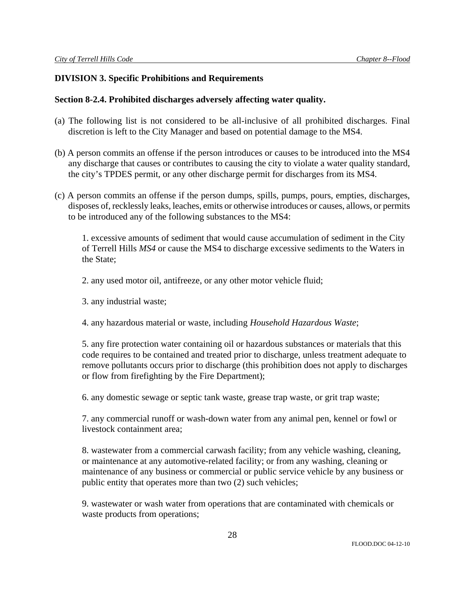## **DIVISION 3. Specific Prohibitions and Requirements**

## **Section 8-2.4. Prohibited discharges adversely affecting water quality.**

- (a) The following list is not considered to be all-inclusive of all prohibited discharges. Final discretion is left to the City Manager and based on potential damage to the MS4.
- (b) A person commits an offense if the person introduces or causes to be introduced into the MS4 any discharge that causes or contributes to causing the city to violate a water quality standard, the city's TPDES permit, or any other discharge permit for discharges from its MS4.
- (c) A person commits an offense if the person dumps, spills, pumps, pours, empties, discharges, disposes of, recklessly leaks, leaches, emits or otherwise introduces or causes, allows, or permits to be introduced any of the following substances to the MS4:

1. excessive amounts of sediment that would cause accumulation of sediment in the City of Terrell Hills *MS4* or cause the MS4 to discharge excessive sediments to the Waters in the State;

### 2. any used motor oil, antifreeze, or any other motor vehicle fluid;

- 3. any industrial waste;
- 4. any hazardous material or waste, including *Household Hazardous Waste*;

5. any fire protection water containing oil or hazardous substances or materials that this code requires to be contained and treated prior to discharge, unless treatment adequate to remove pollutants occurs prior to discharge (this prohibition does not apply to discharges or flow from firefighting by the Fire Department);

6. any domestic sewage or septic tank waste, grease trap waste, or grit trap waste;

7. any commercial runoff or wash-down water from any animal pen, kennel or fowl or livestock containment area;

8. wastewater from a commercial carwash facility; from any vehicle washing, cleaning, or maintenance at any automotive-related facility; or from any washing, cleaning or maintenance of any business or commercial or public service vehicle by any business or public entity that operates more than two (2) such vehicles;

9. wastewater or wash water from operations that are contaminated with chemicals or waste products from operations;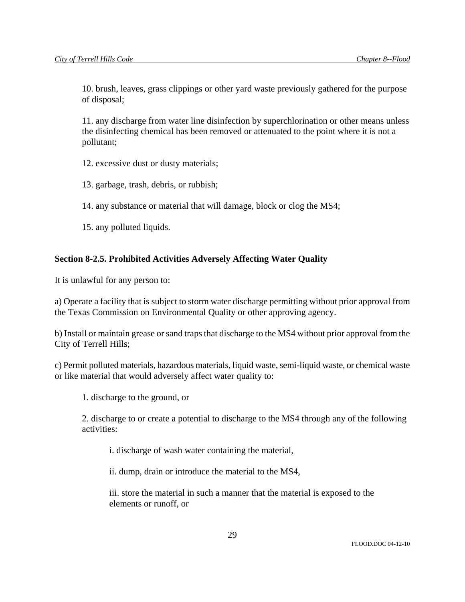10. brush, leaves, grass clippings or other yard waste previously gathered for the purpose of disposal;

11. any discharge from water line disinfection by superchlorination or other means unless the disinfecting chemical has been removed or attenuated to the point where it is not a pollutant;

12. excessive dust or dusty materials;

13. garbage, trash, debris, or rubbish;

14. any substance or material that will damage, block or clog the MS4;

15. any polluted liquids.

# **Section 8-2.5. Prohibited Activities Adversely Affecting Water Quality**

It is unlawful for any person to:

a) Operate a facility that is subject to storm water discharge permitting without prior approval from the Texas Commission on Environmental Quality or other approving agency.

b) Install or maintain grease or sand traps that discharge to the MS4 without prior approval from the City of Terrell Hills;

c) Permit polluted materials, hazardous materials, liquid waste, semi-liquid waste, or chemical waste or like material that would adversely affect water quality to:

1. discharge to the ground, or

2. discharge to or create a potential to discharge to the MS4 through any of the following activities:

i. discharge of wash water containing the material,

ii. dump, drain or introduce the material to the MS4,

iii. store the material in such a manner that the material is exposed to the elements or runoff, or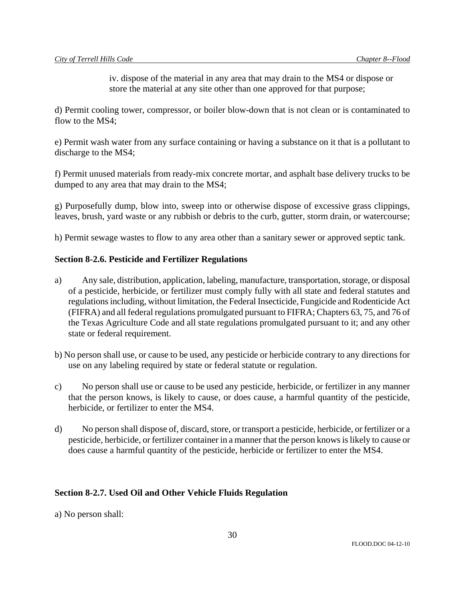iv. dispose of the material in any area that may drain to the MS4 or dispose or store the material at any site other than one approved for that purpose;

d) Permit cooling tower, compressor, or boiler blow-down that is not clean or is contaminated to flow to the MS4;

e) Permit wash water from any surface containing or having a substance on it that is a pollutant to discharge to the MS4;

f) Permit unused materials from ready-mix concrete mortar, and asphalt base delivery trucks to be dumped to any area that may drain to the MS4;

g) Purposefully dump, blow into, sweep into or otherwise dispose of excessive grass clippings, leaves, brush, yard waste or any rubbish or debris to the curb, gutter, storm drain, or watercourse;

h) Permit sewage wastes to flow to any area other than a sanitary sewer or approved septic tank.

# **Section 8-2.6. Pesticide and Fertilizer Regulations**

- a) Any sale, distribution, application, labeling, manufacture, transportation, storage, or disposal of a pesticide, herbicide, or fertilizer must comply fully with all state and federal statutes and regulations including, without limitation, the Federal Insecticide, Fungicide and Rodenticide Act (FIFRA) and all federal regulations promulgated pursuant to FIFRA; Chapters 63, 75, and 76 of the Texas Agriculture Code and all state regulations promulgated pursuant to it; and any other state or federal requirement.
- b) No person shall use, or cause to be used, any pesticide or herbicide contrary to any directions for use on any labeling required by state or federal statute or regulation.
- c) No person shall use or cause to be used any pesticide, herbicide, or fertilizer in any manner that the person knows, is likely to cause, or does cause, a harmful quantity of the pesticide, herbicide, or fertilizer to enter the MS4.
- d) No person shall dispose of, discard, store, or transport a pesticide, herbicide, or fertilizer or a pesticide, herbicide, or fertilizer container in a manner that the person knows is likely to cause or does cause a harmful quantity of the pesticide, herbicide or fertilizer to enter the MS4.

# **Section 8-2.7. Used Oil and Other Vehicle Fluids Regulation**

a) No person shall: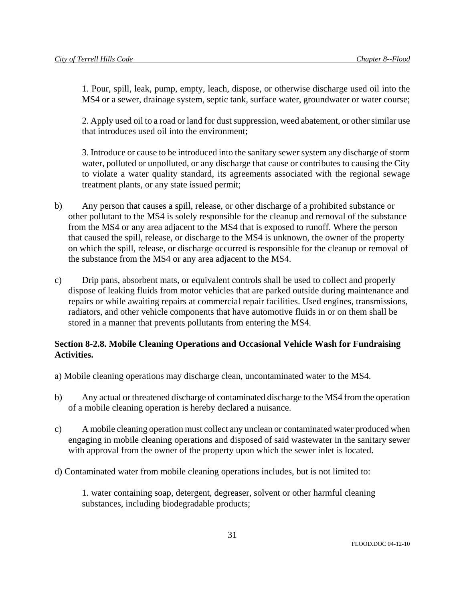1. Pour, spill, leak, pump, empty, leach, dispose, or otherwise discharge used oil into the MS4 or a sewer, drainage system, septic tank, surface water, groundwater or water course;

2. Apply used oil to a road or land for dust suppression, weed abatement, or other similar use that introduces used oil into the environment;

3. Introduce or cause to be introduced into the sanitary sewer system any discharge of storm water, polluted or unpolluted, or any discharge that cause or contributes to causing the City to violate a water quality standard, its agreements associated with the regional sewage treatment plants, or any state issued permit;

- b) Any person that causes a spill, release, or other discharge of a prohibited substance or other pollutant to the MS4 is solely responsible for the cleanup and removal of the substance from the MS4 or any area adjacent to the MS4 that is exposed to runoff. Where the person that caused the spill, release, or discharge to the MS4 is unknown, the owner of the property on which the spill, release, or discharge occurred is responsible for the cleanup or removal of the substance from the MS4 or any area adjacent to the MS4.
- c) Drip pans, absorbent mats, or equivalent controls shall be used to collect and properly dispose of leaking fluids from motor vehicles that are parked outside during maintenance and repairs or while awaiting repairs at commercial repair facilities. Used engines, transmissions, radiators, and other vehicle components that have automotive fluids in or on them shall be stored in a manner that prevents pollutants from entering the MS4.

# **Section 8-2.8. Mobile Cleaning Operations and Occasional Vehicle Wash for Fundraising Activities.**

- a) Mobile cleaning operations may discharge clean, uncontaminated water to the MS4.
- b) Any actual or threatened discharge of contaminated discharge to the MS4 from the operation of a mobile cleaning operation is hereby declared a nuisance.
- c) A mobile cleaning operation must collect any unclean or contaminated water produced when engaging in mobile cleaning operations and disposed of said wastewater in the sanitary sewer with approval from the owner of the property upon which the sewer inlet is located.
- d) Contaminated water from mobile cleaning operations includes, but is not limited to:

1. water containing soap, detergent, degreaser, solvent or other harmful cleaning substances, including biodegradable products;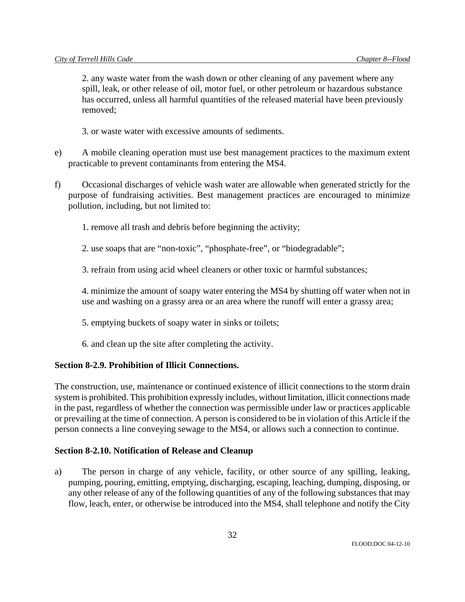2. any waste water from the wash down or other cleaning of any pavement where any spill, leak, or other release of oil, motor fuel, or other petroleum or hazardous substance has occurred, unless all harmful quantities of the released material have been previously removed;

3. or waste water with excessive amounts of sediments.

- e) A mobile cleaning operation must use best management practices to the maximum extent practicable to prevent contaminants from entering the MS4.
- f) Occasional discharges of vehicle wash water are allowable when generated strictly for the purpose of fundraising activities. Best management practices are encouraged to minimize pollution, including, but not limited to:
	- 1. remove all trash and debris before beginning the activity;
	- 2. use soaps that are "non-toxic", "phosphate-free", or "biodegradable";
	- 3. refrain from using acid wheel cleaners or other toxic or harmful substances;

4. minimize the amount of soapy water entering the MS4 by shutting off water when not in use and washing on a grassy area or an area where the runoff will enter a grassy area;

- 5. emptying buckets of soapy water in sinks or toilets;
- 6. and clean up the site after completing the activity.

## **Section 8-2.9. Prohibition of Illicit Connections.**

The construction, use, maintenance or continued existence of illicit connections to the storm drain system is prohibited. This prohibition expressly includes, without limitation, illicit connections made in the past, regardless of whether the connection was permissible under law or practices applicable or prevailing at the time of connection. A person is considered to be in violation of this Article if the person connects a line conveying sewage to the MS4, or allows such a connection to continue.

## **Section 8-2.10. Notification of Release and Cleanup**

a) The person in charge of any vehicle, facility, or other source of any spilling, leaking, pumping, pouring, emitting, emptying, discharging, escaping, leaching, dumping, disposing, or any other release of any of the following quantities of any of the following substances that may flow, leach, enter, or otherwise be introduced into the MS4, shall telephone and notify the City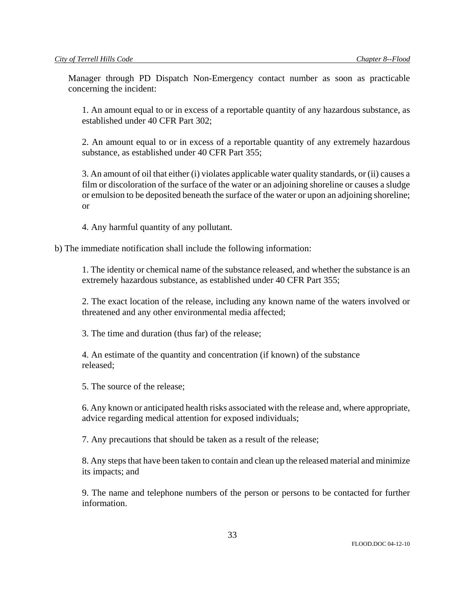Manager through PD Dispatch Non-Emergency contact number as soon as practicable concerning the incident:

1. An amount equal to or in excess of a reportable quantity of any hazardous substance, as established under 40 CFR Part 302;

2. An amount equal to or in excess of a reportable quantity of any extremely hazardous substance, as established under 40 CFR Part 355;

3. An amount of oil that either (i) violates applicable water quality standards, or (ii) causes a film or discoloration of the surface of the water or an adjoining shoreline or causes a sludge or emulsion to be deposited beneath the surface of the water or upon an adjoining shoreline; or

4. Any harmful quantity of any pollutant.

b) The immediate notification shall include the following information:

1. The identity or chemical name of the substance released, and whether the substance is an extremely hazardous substance, as established under 40 CFR Part 355;

2. The exact location of the release, including any known name of the waters involved or threatened and any other environmental media affected;

3. The time and duration (thus far) of the release;

4. An estimate of the quantity and concentration (if known) of the substance released;

5. The source of the release;

6. Any known or anticipated health risks associated with the release and, where appropriate, advice regarding medical attention for exposed individuals;

7. Any precautions that should be taken as a result of the release;

8. Any steps that have been taken to contain and clean up the released material and minimize its impacts; and

9. The name and telephone numbers of the person or persons to be contacted for further information.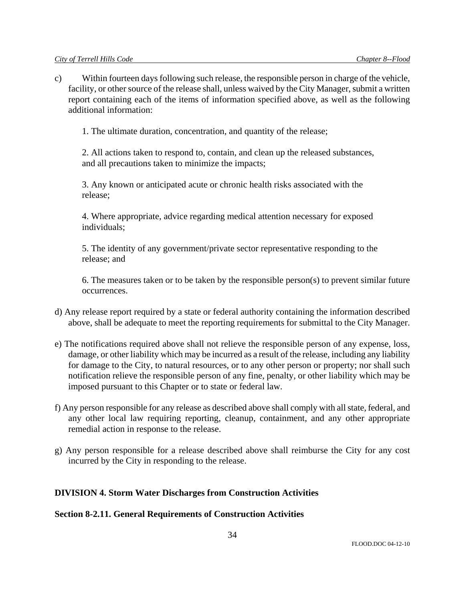c) Within fourteen days following such release, the responsible person in charge of the vehicle, facility, or other source of the release shall, unless waived by the City Manager, submit a written report containing each of the items of information specified above, as well as the following additional information:

1. The ultimate duration, concentration, and quantity of the release;

2. All actions taken to respond to, contain, and clean up the released substances, and all precautions taken to minimize the impacts;

3. Any known or anticipated acute or chronic health risks associated with the release;

4. Where appropriate, advice regarding medical attention necessary for exposed individuals;

5. The identity of any government/private sector representative responding to the release; and

6. The measures taken or to be taken by the responsible person(s) to prevent similar future occurrences.

- d) Any release report required by a state or federal authority containing the information described above, shall be adequate to meet the reporting requirements for submittal to the City Manager.
- e) The notifications required above shall not relieve the responsible person of any expense, loss, damage, or other liability which may be incurred as a result of the release, including any liability for damage to the City, to natural resources, or to any other person or property; nor shall such notification relieve the responsible person of any fine, penalty, or other liability which may be imposed pursuant to this Chapter or to state or federal law.
- f) Any person responsible for any release as described above shall comply with all state, federal, and any other local law requiring reporting, cleanup, containment, and any other appropriate remedial action in response to the release.
- g) Any person responsible for a release described above shall reimburse the City for any cost incurred by the City in responding to the release.

# **DIVISION 4. Storm Water Discharges from Construction Activities**

## **Section 8-2.11. General Requirements of Construction Activities**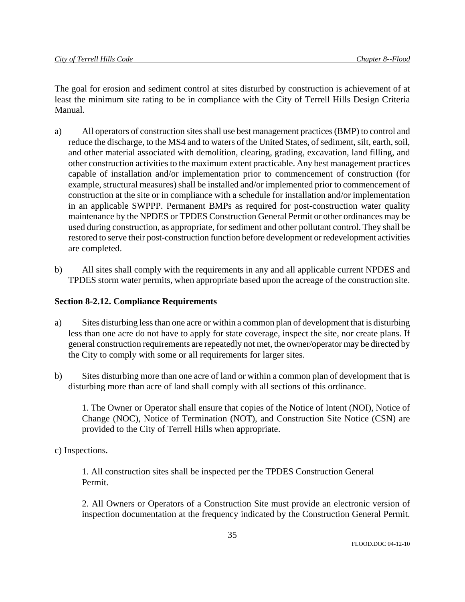The goal for erosion and sediment control at sites disturbed by construction is achievement of at least the minimum site rating to be in compliance with the City of Terrell Hills Design Criteria Manual.

- a) All operators of construction sites shall use best management practices (BMP) to control and reduce the discharge, to the MS4 and to waters of the United States, of sediment, silt, earth, soil, and other material associated with demolition, clearing, grading, excavation, land filling, and other construction activities to the maximum extent practicable. Any best management practices capable of installation and/or implementation prior to commencement of construction (for example, structural measures) shall be installed and/or implemented prior to commencement of construction at the site or in compliance with a schedule for installation and/or implementation in an applicable SWPPP. Permanent BMPs as required for post-construction water quality maintenance by the NPDES or TPDES Construction General Permit or other ordinances may be used during construction, as appropriate, for sediment and other pollutant control. They shall be restored to serve their post-construction function before development or redevelopment activities are completed.
- b) All sites shall comply with the requirements in any and all applicable current NPDES and TPDES storm water permits, when appropriate based upon the acreage of the construction site.

# **Section 8-2.12. Compliance Requirements**

- a) Sites disturbing less than one acre or within a common plan of development that is disturbing less than one acre do not have to apply for state coverage, inspect the site, nor create plans. If general construction requirements are repeatedly not met, the owner/operator may be directed by the City to comply with some or all requirements for larger sites.
- b) Sites disturbing more than one acre of land or within a common plan of development that is disturbing more than acre of land shall comply with all sections of this ordinance.

1. The Owner or Operator shall ensure that copies of the Notice of Intent (NOI), Notice of Change (NOC), Notice of Termination (NOT), and Construction Site Notice (CSN) are provided to the City of Terrell Hills when appropriate.

c) Inspections.

1. All construction sites shall be inspected per the TPDES Construction General Permit.

2. All Owners or Operators of a Construction Site must provide an electronic version of inspection documentation at the frequency indicated by the Construction General Permit.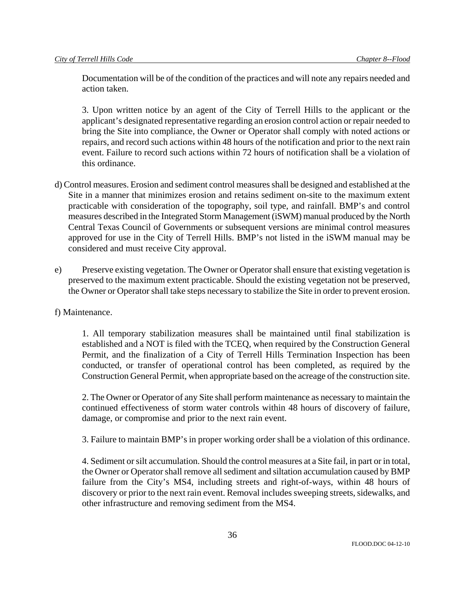Documentation will be of the condition of the practices and will note any repairs needed and action taken.

3. Upon written notice by an agent of the City of Terrell Hills to the applicant or the applicant's designated representative regarding an erosion control action or repair needed to bring the Site into compliance, the Owner or Operator shall comply with noted actions or repairs, and record such actions within 48 hours of the notification and prior to the next rain event. Failure to record such actions within 72 hours of notification shall be a violation of this ordinance.

- d) Control measures. Erosion and sediment control measures shall be designed and established at the Site in a manner that minimizes erosion and retains sediment on-site to the maximum extent practicable with consideration of the topography, soil type, and rainfall. BMP's and control measures described in the Integrated Storm Management (iSWM) manual produced by the North Central Texas Council of Governments or subsequent versions are minimal control measures approved for use in the City of Terrell Hills. BMP's not listed in the iSWM manual may be considered and must receive City approval.
- e) Preserve existing vegetation. The Owner or Operator shall ensure that existing vegetation is preserved to the maximum extent practicable. Should the existing vegetation not be preserved, the Owner or Operator shall take steps necessary to stabilize the Site in order to prevent erosion.
- f) Maintenance.

1. All temporary stabilization measures shall be maintained until final stabilization is established and a NOT is filed with the TCEQ, when required by the Construction General Permit, and the finalization of a City of Terrell Hills Termination Inspection has been conducted, or transfer of operational control has been completed, as required by the Construction General Permit, when appropriate based on the acreage of the construction site.

2. The Owner or Operator of any Site shall perform maintenance as necessary to maintain the continued effectiveness of storm water controls within 48 hours of discovery of failure, damage, or compromise and prior to the next rain event.

3. Failure to maintain BMP's in proper working order shall be a violation of this ordinance.

4. Sediment or silt accumulation. Should the control measures at a Site fail, in part or in total, the Owner or Operator shall remove all sediment and siltation accumulation caused by BMP failure from the City's MS4, including streets and right-of-ways, within 48 hours of discovery or prior to the next rain event. Removal includes sweeping streets, sidewalks, and other infrastructure and removing sediment from the MS4.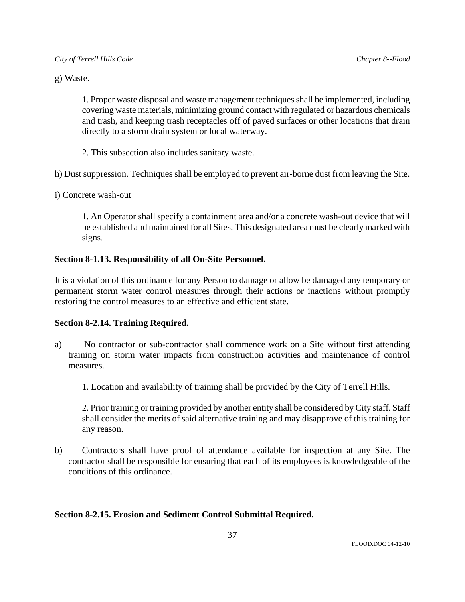g) Waste.

1. Proper waste disposal and waste management techniques shall be implemented, including covering waste materials, minimizing ground contact with regulated or hazardous chemicals and trash, and keeping trash receptacles off of paved surfaces or other locations that drain directly to a storm drain system or local waterway.

2. This subsection also includes sanitary waste.

h) Dust suppression. Techniques shall be employed to prevent air-borne dust from leaving the Site.

i) Concrete wash-out

1. An Operator shall specify a containment area and/or a concrete wash-out device that will be established and maintained for all Sites. This designated area must be clearly marked with signs.

# **Section 8-1.13. Responsibility of all On-Site Personnel.**

It is a violation of this ordinance for any Person to damage or allow be damaged any temporary or permanent storm water control measures through their actions or inactions without promptly restoring the control measures to an effective and efficient state.

## **Section 8-2.14. Training Required.**

- a) No contractor or sub-contractor shall commence work on a Site without first attending training on storm water impacts from construction activities and maintenance of control measures.
	- 1. Location and availability of training shall be provided by the City of Terrell Hills.

2. Prior training or training provided by another entity shall be considered by City staff. Staff shall consider the merits of said alternative training and may disapprove of this training for any reason.

b) Contractors shall have proof of attendance available for inspection at any Site. The contractor shall be responsible for ensuring that each of its employees is knowledgeable of the conditions of this ordinance.

# **Section 8-2.15. Erosion and Sediment Control Submittal Required.**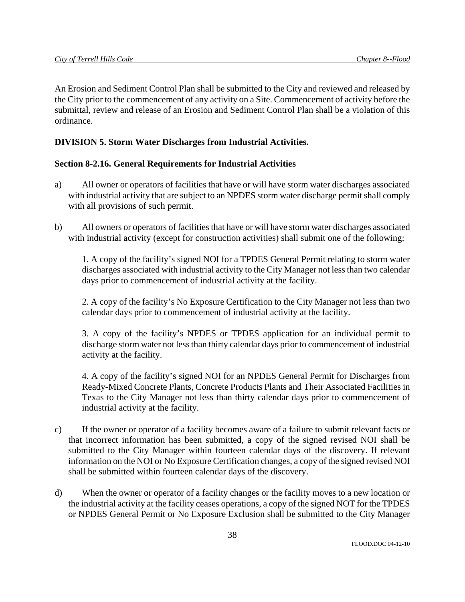An Erosion and Sediment Control Plan shall be submitted to the City and reviewed and released by the City prior to the commencement of any activity on a Site. Commencement of activity before the submittal, review and release of an Erosion and Sediment Control Plan shall be a violation of this ordinance.

# **DIVISION 5. Storm Water Discharges from Industrial Activities.**

# **Section 8-2.16. General Requirements for Industrial Activities**

- a) All owner or operators of facilities that have or will have storm water discharges associated with industrial activity that are subject to an NPDES storm water discharge permit shall comply with all provisions of such permit.
- b) All owners or operators of facilities that have or will have storm water discharges associated with industrial activity (except for construction activities) shall submit one of the following:

1. A copy of the facility's signed NOI for a TPDES General Permit relating to storm water discharges associated with industrial activity to the City Manager not less than two calendar days prior to commencement of industrial activity at the facility.

2. A copy of the facility's No Exposure Certification to the City Manager not less than two calendar days prior to commencement of industrial activity at the facility.

3. A copy of the facility's NPDES or TPDES application for an individual permit to discharge storm water not less than thirty calendar days prior to commencement of industrial activity at the facility.

4. A copy of the facility's signed NOI for an NPDES General Permit for Discharges from Ready-Mixed Concrete Plants, Concrete Products Plants and Their Associated Facilities in Texas to the City Manager not less than thirty calendar days prior to commencement of industrial activity at the facility.

- c) If the owner or operator of a facility becomes aware of a failure to submit relevant facts or that incorrect information has been submitted, a copy of the signed revised NOI shall be submitted to the City Manager within fourteen calendar days of the discovery. If relevant information on the NOI or No Exposure Certification changes, a copy of the signed revised NOI shall be submitted within fourteen calendar days of the discovery.
- d) When the owner or operator of a facility changes or the facility moves to a new location or the industrial activity at the facility ceases operations, a copy of the signed NOT for the TPDES or NPDES General Permit or No Exposure Exclusion shall be submitted to the City Manager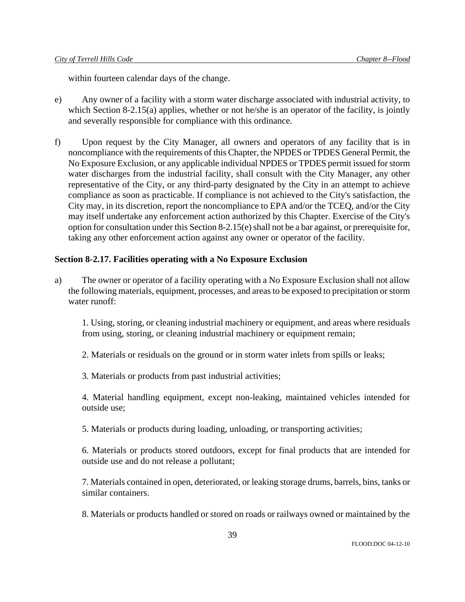within fourteen calendar days of the change.

- e) Any owner of a facility with a storm water discharge associated with industrial activity, to which Section 8-2.15(a) applies, whether or not he/she is an operator of the facility, is jointly and severally responsible for compliance with this ordinance.
- f) Upon request by the City Manager, all owners and operators of any facility that is in noncompliance with the requirements of this Chapter, the NPDES or TPDES General Permit, the No Exposure Exclusion, or any applicable individual NPDES or TPDES permit issued for storm water discharges from the industrial facility, shall consult with the City Manager, any other representative of the City, or any third-party designated by the City in an attempt to achieve compliance as soon as practicable. If compliance is not achieved to the City's satisfaction, the City may, in its discretion, report the noncompliance to EPA and/or the TCEQ, and/or the City may itself undertake any enforcement action authorized by this Chapter. Exercise of the City's option for consultation under this Section 8-2.15(e) shall not be a bar against, or prerequisite for, taking any other enforcement action against any owner or operator of the facility.

## **Section 8-2.17. Facilities operating with a No Exposure Exclusion**

a) The owner or operator of a facility operating with a No Exposure Exclusion shall not allow the following materials, equipment, processes, and areas to be exposed to precipitation or storm water runoff:

1. Using, storing, or cleaning industrial machinery or equipment, and areas where residuals from using, storing, or cleaning industrial machinery or equipment remain;

2. Materials or residuals on the ground or in storm water inlets from spills or leaks;

3. Materials or products from past industrial activities;

4. Material handling equipment, except non-leaking, maintained vehicles intended for outside use;

5. Materials or products during loading, unloading, or transporting activities;

6. Materials or products stored outdoors, except for final products that are intended for outside use and do not release a pollutant;

7. Materials contained in open, deteriorated, or leaking storage drums, barrels, bins, tanks or similar containers.

8. Materials or products handled or stored on roads or railways owned or maintained by the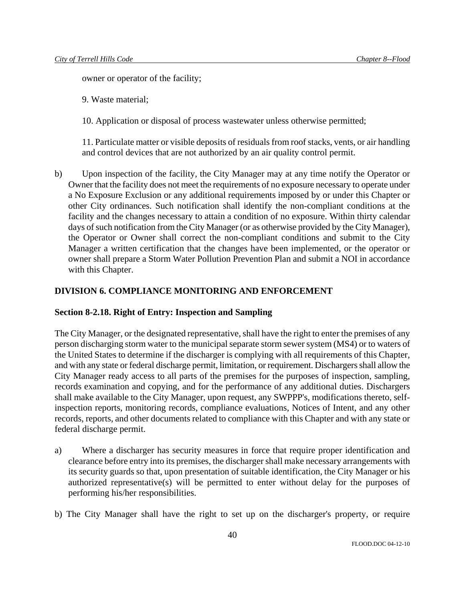owner or operator of the facility;

9. Waste material;

10. Application or disposal of process wastewater unless otherwise permitted;

11. Particulate matter or visible deposits of residuals from roof stacks, vents, or air handling and control devices that are not authorized by an air quality control permit.

b) Upon inspection of the facility, the City Manager may at any time notify the Operator or Owner that the facility does not meet the requirements of no exposure necessary to operate under a No Exposure Exclusion or any additional requirements imposed by or under this Chapter or other City ordinances. Such notification shall identify the non-compliant conditions at the facility and the changes necessary to attain a condition of no exposure. Within thirty calendar days of such notification from the City Manager (or as otherwise provided by the City Manager), the Operator or Owner shall correct the non-compliant conditions and submit to the City Manager a written certification that the changes have been implemented, or the operator or owner shall prepare a Storm Water Pollution Prevention Plan and submit a NOI in accordance with this Chapter.

# **DIVISION 6. COMPLIANCE MONITORING AND ENFORCEMENT**

## **Section 8-2.18. Right of Entry: Inspection and Sampling**

The City Manager, or the designated representative, shall have the right to enter the premises of any person discharging storm water to the municipal separate storm sewer system (MS4) or to waters of the United States to determine if the discharger is complying with all requirements of this Chapter, and with any state or federal discharge permit, limitation, or requirement. Dischargers shall allow the City Manager ready access to all parts of the premises for the purposes of inspection, sampling, records examination and copying, and for the performance of any additional duties. Dischargers shall make available to the City Manager, upon request, any SWPPP's, modifications thereto, selfinspection reports, monitoring records, compliance evaluations, Notices of Intent, and any other records, reports, and other documents related to compliance with this Chapter and with any state or federal discharge permit.

- a) Where a discharger has security measures in force that require proper identification and clearance before entry into its premises, the discharger shall make necessary arrangements with its security guards so that, upon presentation of suitable identification, the City Manager or his authorized representative(s) will be permitted to enter without delay for the purposes of performing his/her responsibilities.
- b) The City Manager shall have the right to set up on the discharger's property, or require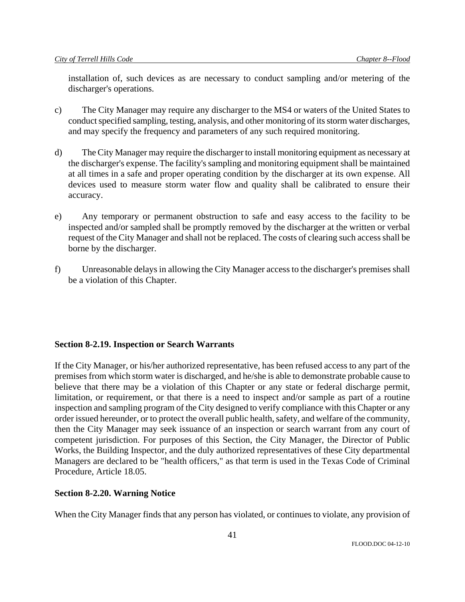installation of, such devices as are necessary to conduct sampling and/or metering of the discharger's operations.

- c) The City Manager may require any discharger to the MS4 or waters of the United States to conduct specified sampling, testing, analysis, and other monitoring of its storm water discharges, and may specify the frequency and parameters of any such required monitoring.
- d) The City Manager may require the discharger to install monitoring equipment as necessary at the discharger's expense. The facility's sampling and monitoring equipment shall be maintained at all times in a safe and proper operating condition by the discharger at its own expense. All devices used to measure storm water flow and quality shall be calibrated to ensure their accuracy.
- e) Any temporary or permanent obstruction to safe and easy access to the facility to be inspected and/or sampled shall be promptly removed by the discharger at the written or verbal request of the City Manager and shall not be replaced. The costs of clearing such access shall be borne by the discharger.
- f) Unreasonable delays in allowing the City Manager access to the discharger's premises shall be a violation of this Chapter.

# **Section 8-2.19. Inspection or Search Warrants**

If the City Manager, or his/her authorized representative, has been refused access to any part of the premises from which storm water is discharged, and he/she is able to demonstrate probable cause to believe that there may be a violation of this Chapter or any state or federal discharge permit, limitation, or requirement, or that there is a need to inspect and/or sample as part of a routine inspection and sampling program of the City designed to verify compliance with this Chapter or any order issued hereunder, or to protect the overall public health, safety, and welfare of the community, then the City Manager may seek issuance of an inspection or search warrant from any court of competent jurisdiction. For purposes of this Section, the City Manager, the Director of Public Works, the Building Inspector, and the duly authorized representatives of these City departmental Managers are declared to be "health officers," as that term is used in the Texas Code of Criminal Procedure, Article 18.05.

# **Section 8-2.20. Warning Notice**

When the City Manager finds that any person has violated, or continues to violate, any provision of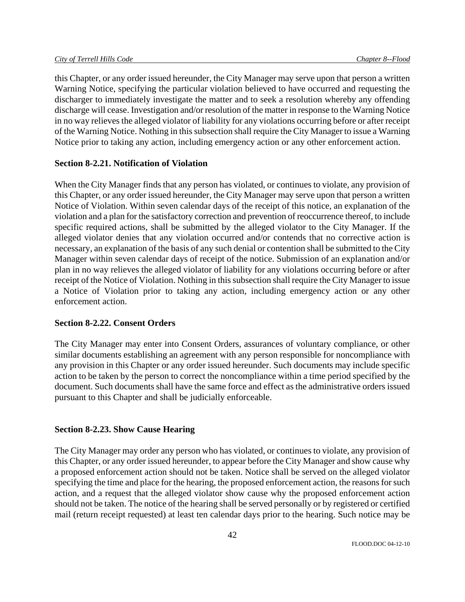this Chapter, or any order issued hereunder, the City Manager may serve upon that person a written Warning Notice, specifying the particular violation believed to have occurred and requesting the discharger to immediately investigate the matter and to seek a resolution whereby any offending discharge will cease. Investigation and/or resolution of the matter in response to the Warning Notice in no way relieves the alleged violator of liability for any violations occurring before or after receipt of the Warning Notice. Nothing in this subsection shall require the City Manager to issue a Warning Notice prior to taking any action, including emergency action or any other enforcement action.

## **Section 8-2.21. Notification of Violation**

When the City Manager finds that any person has violated, or continues to violate, any provision of this Chapter, or any order issued hereunder, the City Manager may serve upon that person a written Notice of Violation. Within seven calendar days of the receipt of this notice, an explanation of the violation and a plan for the satisfactory correction and prevention of reoccurrence thereof, to include specific required actions, shall be submitted by the alleged violator to the City Manager. If the alleged violator denies that any violation occurred and/or contends that no corrective action is necessary, an explanation of the basis of any such denial or contention shall be submitted to the City Manager within seven calendar days of receipt of the notice. Submission of an explanation and/or plan in no way relieves the alleged violator of liability for any violations occurring before or after receipt of the Notice of Violation. Nothing in this subsection shall require the City Manager to issue a Notice of Violation prior to taking any action, including emergency action or any other enforcement action.

## **Section 8-2.22. Consent Orders**

The City Manager may enter into Consent Orders, assurances of voluntary compliance, or other similar documents establishing an agreement with any person responsible for noncompliance with any provision in this Chapter or any order issued hereunder. Such documents may include specific action to be taken by the person to correct the noncompliance within a time period specified by the document. Such documents shall have the same force and effect as the administrative orders issued pursuant to this Chapter and shall be judicially enforceable.

## **Section 8-2.23. Show Cause Hearing**

The City Manager may order any person who has violated, or continues to violate, any provision of this Chapter, or any order issued hereunder, to appear before the City Manager and show cause why a proposed enforcement action should not be taken. Notice shall be served on the alleged violator specifying the time and place for the hearing, the proposed enforcement action, the reasons for such action, and a request that the alleged violator show cause why the proposed enforcement action should not be taken. The notice of the hearing shall be served personally or by registered or certified mail (return receipt requested) at least ten calendar days prior to the hearing. Such notice may be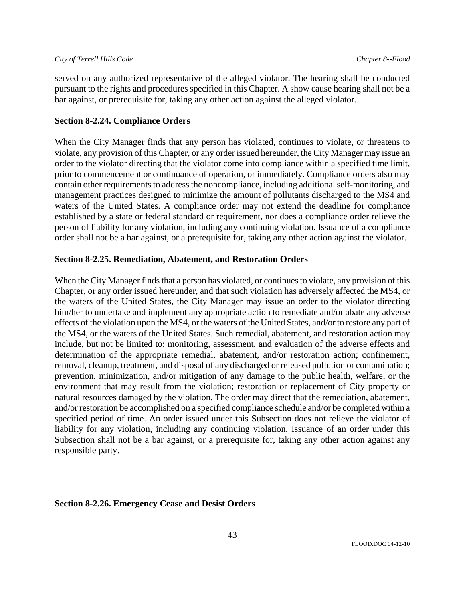served on any authorized representative of the alleged violator. The hearing shall be conducted pursuant to the rights and procedures specified in this Chapter. A show cause hearing shall not be a bar against, or prerequisite for, taking any other action against the alleged violator.

## **Section 8-2.24. Compliance Orders**

When the City Manager finds that any person has violated, continues to violate, or threatens to violate, any provision of this Chapter, or any order issued hereunder, the City Manager may issue an order to the violator directing that the violator come into compliance within a specified time limit, prior to commencement or continuance of operation, or immediately. Compliance orders also may contain other requirements to address the noncompliance, including additional self-monitoring, and management practices designed to minimize the amount of pollutants discharged to the MS4 and waters of the United States. A compliance order may not extend the deadline for compliance established by a state or federal standard or requirement, nor does a compliance order relieve the person of liability for any violation, including any continuing violation. Issuance of a compliance order shall not be a bar against, or a prerequisite for, taking any other action against the violator.

## **Section 8-2.25. Remediation, Abatement, and Restoration Orders**

When the City Manager finds that a person has violated, or continues to violate, any provision of this Chapter, or any order issued hereunder, and that such violation has adversely affected the MS4, or the waters of the United States, the City Manager may issue an order to the violator directing him/her to undertake and implement any appropriate action to remediate and/or abate any adverse effects of the violation upon the MS4, or the waters of the United States, and/or to restore any part of the MS4, or the waters of the United States. Such remedial, abatement, and restoration action may include, but not be limited to: monitoring, assessment, and evaluation of the adverse effects and determination of the appropriate remedial, abatement, and/or restoration action; confinement, removal, cleanup, treatment, and disposal of any discharged or released pollution or contamination; prevention, minimization, and/or mitigation of any damage to the public health, welfare, or the environment that may result from the violation; restoration or replacement of City property or natural resources damaged by the violation. The order may direct that the remediation, abatement, and/or restoration be accomplished on a specified compliance schedule and/or be completed within a specified period of time. An order issued under this Subsection does not relieve the violator of liability for any violation, including any continuing violation. Issuance of an order under this Subsection shall not be a bar against, or a prerequisite for, taking any other action against any responsible party.

### **Section 8-2.26. Emergency Cease and Desist Orders**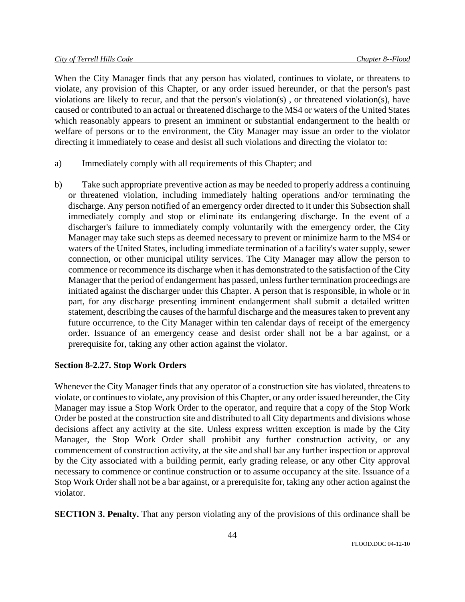When the City Manager finds that any person has violated, continues to violate, or threatens to violate, any provision of this Chapter, or any order issued hereunder, or that the person's past violations are likely to recur, and that the person's violation(s) , or threatened violation(s), have caused or contributed to an actual or threatened discharge to the MS4 or waters of the United States which reasonably appears to present an imminent or substantial endangerment to the health or welfare of persons or to the environment, the City Manager may issue an order to the violator directing it immediately to cease and desist all such violations and directing the violator to:

- a) Immediately comply with all requirements of this Chapter; and
- b) Take such appropriate preventive action as may be needed to properly address a continuing or threatened violation, including immediately halting operations and/or terminating the discharge. Any person notified of an emergency order directed to it under this Subsection shall immediately comply and stop or eliminate its endangering discharge. In the event of a discharger's failure to immediately comply voluntarily with the emergency order, the City Manager may take such steps as deemed necessary to prevent or minimize harm to the MS4 or waters of the United States, including immediate termination of a facility's water supply, sewer connection, or other municipal utility services. The City Manager may allow the person to commence or recommence its discharge when it has demonstrated to the satisfaction of the City Manager that the period of endangerment has passed, unless further termination proceedings are initiated against the discharger under this Chapter. A person that is responsible, in whole or in part, for any discharge presenting imminent endangerment shall submit a detailed written statement, describing the causes of the harmful discharge and the measures taken to prevent any future occurrence, to the City Manager within ten calendar days of receipt of the emergency order. Issuance of an emergency cease and desist order shall not be a bar against, or a prerequisite for, taking any other action against the violator.

# **Section 8-2.27. Stop Work Orders**

Whenever the City Manager finds that any operator of a construction site has violated, threatens to violate, or continues to violate, any provision of this Chapter, or any order issued hereunder, the City Manager may issue a Stop Work Order to the operator, and require that a copy of the Stop Work Order be posted at the construction site and distributed to all City departments and divisions whose decisions affect any activity at the site. Unless express written exception is made by the City Manager, the Stop Work Order shall prohibit any further construction activity, or any commencement of construction activity, at the site and shall bar any further inspection or approval by the City associated with a building permit, early grading release, or any other City approval necessary to commence or continue construction or to assume occupancy at the site. Issuance of a Stop Work Order shall not be a bar against, or a prerequisite for, taking any other action against the violator.

**SECTION 3. Penalty.** That any person violating any of the provisions of this ordinance shall be